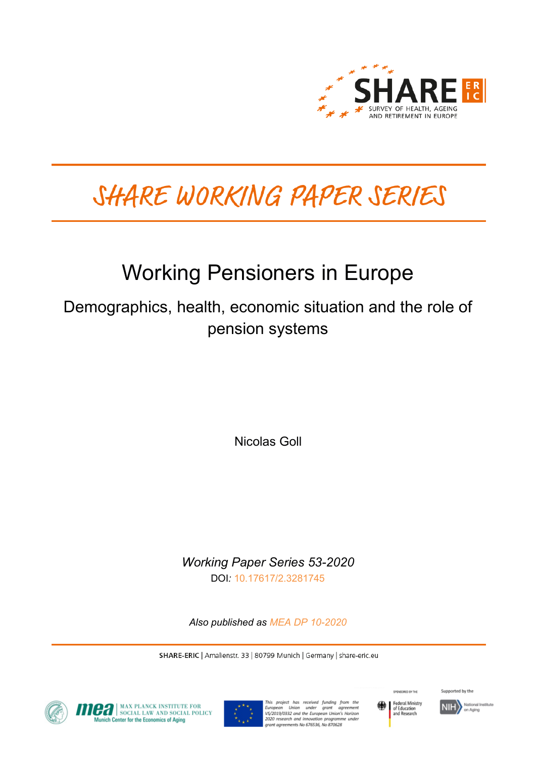

# SHARE WORKING PAPER SERIES

# Working Pensioners in Europe

Demographics, health, economic situation and the role of pension systems

Nicolas Goll

*Working Paper Series 53-2020* DOI*:* [10.17617/2.3281745](https://doi.org/10.17617/2.3281745)

*Also published as [MEA DP 10-2020](https://www.mpisoc.mpg.de/sozialpolitik-mea/publikationen/detail/publication/working-pensioners-in-europe-demographics-health-economic-situation-and-the-role-of-pension-systems/)*

SHARE-ERIC | Amalienstr. 33 | 80799 Munich | Germany | share-eric.eu



**CA** SOCIAL LAW AND SOCIAL POLICY nich Center for the Economics of Aging



This project has received funding from the<br>European Union under grant agreement<br>VS/2019/0332 and the European-Union's Harizon 2020 research and innovation programme under<br>grant agreements No 676536, No 870628



Supported by the

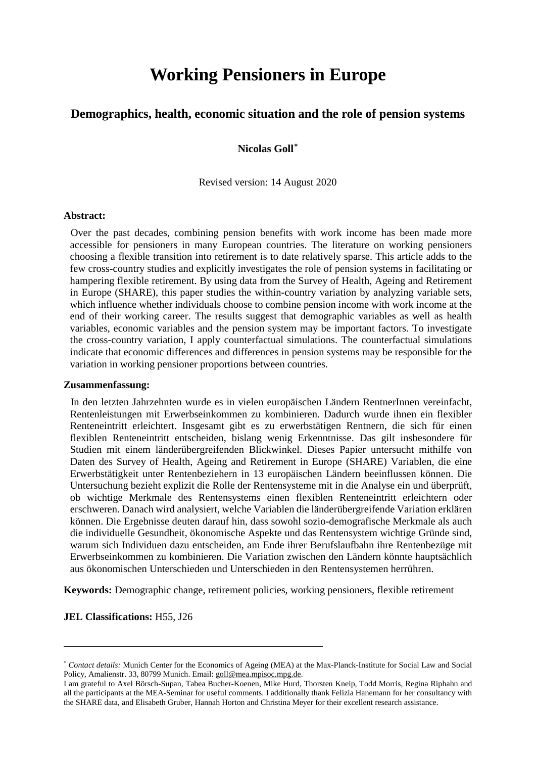# **Working Pensioners in Europe**

## **Demographics, health, economic situation and the role of pension systems**

### **Nicolas Goll[\\*](#page-1-0)**

Revised version: 14 August 2020

#### **Abstract:**

Over the past decades, combining pension benefits with work income has been made more accessible for pensioners in many European countries. The literature on working pensioners choosing a flexible transition into retirement is to date relatively sparse. This article adds to the few cross-country studies and explicitly investigates the role of pension systems in facilitating or hampering flexible retirement. By using data from the Survey of Health, Ageing and Retirement in Europe (SHARE), this paper studies the within-country variation by analyzing variable sets, which influence whether individuals choose to combine pension income with work income at the end of their working career. The results suggest that demographic variables as well as health variables, economic variables and the pension system may be important factors. To investigate the cross-country variation, I apply counterfactual simulations. The counterfactual simulations indicate that economic differences and differences in pension systems may be responsible for the variation in working pensioner proportions between countries.

#### **Zusammenfassung:**

In den letzten Jahrzehnten wurde es in vielen europäischen Ländern RentnerInnen vereinfacht, Rentenleistungen mit Erwerbseinkommen zu kombinieren. Dadurch wurde ihnen ein flexibler Renteneintritt erleichtert. Insgesamt gibt es zu erwerbstätigen Rentnern, die sich für einen flexiblen Renteneintritt entscheiden, bislang wenig Erkenntnisse. Das gilt insbesondere für Studien mit einem länderübergreifenden Blickwinkel. Dieses Papier untersucht mithilfe von Daten des Survey of Health, Ageing and Retirement in Europe (SHARE) Variablen, die eine Erwerbstätigkeit unter Rentenbeziehern in 13 europäischen Ländern beeinflussen können. Die Untersuchung bezieht explizit die Rolle der Rentensysteme mit in die Analyse ein und überprüft, ob wichtige Merkmale des Rentensystems einen flexiblen Renteneintritt erleichtern oder erschweren. Danach wird analysiert, welche Variablen die länderübergreifende Variation erklären können. Die Ergebnisse deuten darauf hin, dass sowohl sozio-demografische Merkmale als auch die individuelle Gesundheit, ökonomische Aspekte und das Rentensystem wichtige Gründe sind, warum sich Individuen dazu entscheiden, am Ende ihrer Berufslaufbahn ihre Rentenbezüge mit Erwerbseinkommen zu kombinieren. Die Variation zwischen den Ländern könnte hauptsächlich aus ökonomischen Unterschieden und Unterschieden in den Rentensystemen herrühren.

**Keywords:** Demographic change, retirement policies, working pensioners, flexible retirement

#### **JEL Classifications:** H55, J26

 $\overline{a}$ 

<span id="page-1-0"></span><sup>\*</sup> *Contact details:* Munich Center for the Economics of Ageing (MEA) at the Max-Planck-Institute for Social Law and Social Policy, Amalienstr. 33, 80799 Munich. Email: [goll@mea.mpisoc.mpg.de.](mailto:goll@mea.mpisoc.mpg.de)

I am grateful to Axel Börsch-Supan, Tabea Bucher-Koenen, Mike Hurd, Thorsten Kneip, Todd Morris, Regina Riphahn and all the participants at the MEA-Seminar for useful comments. I additionally thank Felizia Hanemann for her consultancy with the SHARE data, and Elisabeth Gruber, Hannah Horton and Christina Meyer for their excellent research assistance.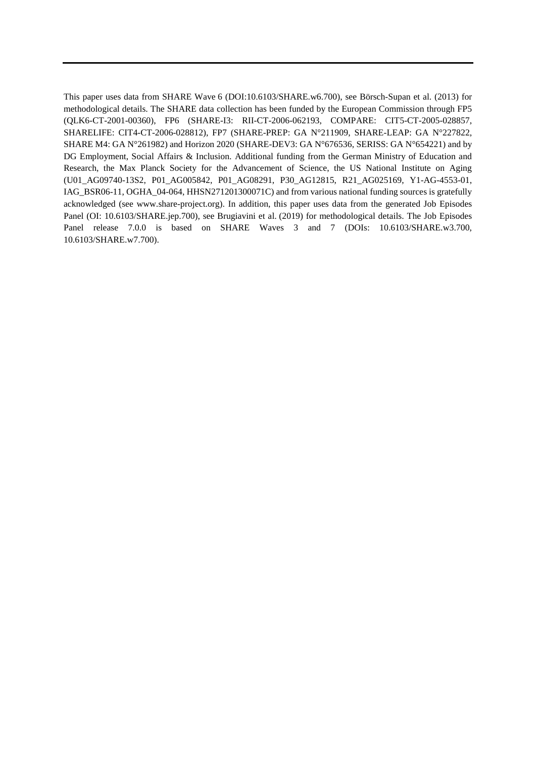This paper uses data from SHARE Wave 6 (DOI:10.6103/SHARE.w6.700), see Börsch-Supan et al. (2013) for methodological details. The SHARE data collection has been funded by the European Commission through FP5 (QLK6-CT-2001-00360), FP6 (SHARE-I3: RII-CT-2006-062193, COMPARE: CIT5-CT-2005-028857, SHARELIFE: CIT4-CT-2006-028812), FP7 (SHARE-PREP: GA N°211909, SHARE-LEAP: GA N°227822, SHARE M4: GA N°261982) and Horizon 2020 (SHARE-DEV3: GA N°676536, SERISS: GA N°654221) and by DG Employment, Social Affairs & Inclusion. Additional funding from the German Ministry of Education and Research, the Max Planck Society for the Advancement of Science, the US National Institute on Aging (U01\_AG09740-13S2, P01\_AG005842, P01\_AG08291, P30\_AG12815, R21\_AG025169, Y1-AG-4553-01, IAG\_BSR06-11, OGHA\_04-064, HHSN271201300071C) and from various national funding sources is gratefully acknowledged (see www.share-project.org). In addition, this paper uses data from the generated Job Episodes Panel (OI: 10.6103/SHARE.jep.700), see Brugiavini et al. (2019) for methodological details. The Job Episodes Panel release 7.0.0 is based on SHARE Waves 3 and 7 (DOIs: 10.6103/SHARE.w3.700, 10.6103/SHARE.w7.700).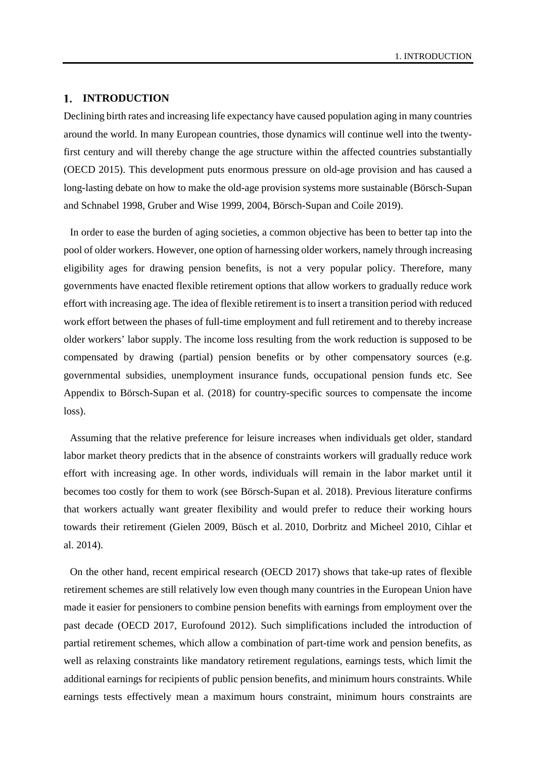#### 1. INTRODUCTION

Declining birth rates and increasing life expectancy have caused population aging in many countries around the world. In many European countries, those dynamics will continue well into the twentyfirst century and will thereby change the age structure within the affected countries substantially (OECD 2015). This development puts enormous pressure on old-age provision and has caused a long-lasting debate on how to make the old-age provision systems more sustainable (Börsch-Supan and Schnabel 1998, Gruber and Wise 1999, 2004, Börsch-Supan and Coile 2019).

In order to ease the burden of aging societies, a common objective has been to better tap into the pool of older workers. However, one option of harnessing older workers, namely through increasing eligibility ages for drawing pension benefits, is not a very popular policy. Therefore, many governments have enacted flexible retirement options that allow workers to gradually reduce work effort with increasing age. The idea of flexible retirement is to insert a transition period with reduced work effort between the phases of full-time employment and full retirement and to thereby increase older workers' labor supply. The income loss resulting from the work reduction is supposed to be compensated by drawing (partial) pension benefits or by other compensatory sources (e.g. governmental subsidies, unemployment insurance funds, occupational pension funds etc. See Appendix to Börsch-Supan et al. (2018) for country-specific sources to compensate the income loss).

Assuming that the relative preference for leisure increases when individuals get older, standard labor market theory predicts that in the absence of constraints workers will gradually reduce work effort with increasing age. In other words, individuals will remain in the labor market until it becomes too costly for them to work (see Börsch-Supan et al. 2018). Previous literature confirms that workers actually want greater flexibility and would prefer to reduce their working hours towards their retirement (Gielen 2009, Büsch et al. 2010, Dorbritz and Micheel 2010, Cihlar et al. 2014).

On the other hand, recent empirical research (OECD 2017) shows that take-up rates of flexible retirement schemes are still relatively low even though many countries in the European Union have made it easier for pensioners to combine pension benefits with earnings from employment over the past decade (OECD 2017, Eurofound 2012). Such simplifications included the introduction of partial retirement schemes, which allow a combination of part-time work and pension benefits, as well as relaxing constraints like mandatory retirement regulations, earnings tests, which limit the additional earnings for recipients of public pension benefits, and minimum hours constraints. While earnings tests effectively mean a maximum hours constraint, minimum hours constraints are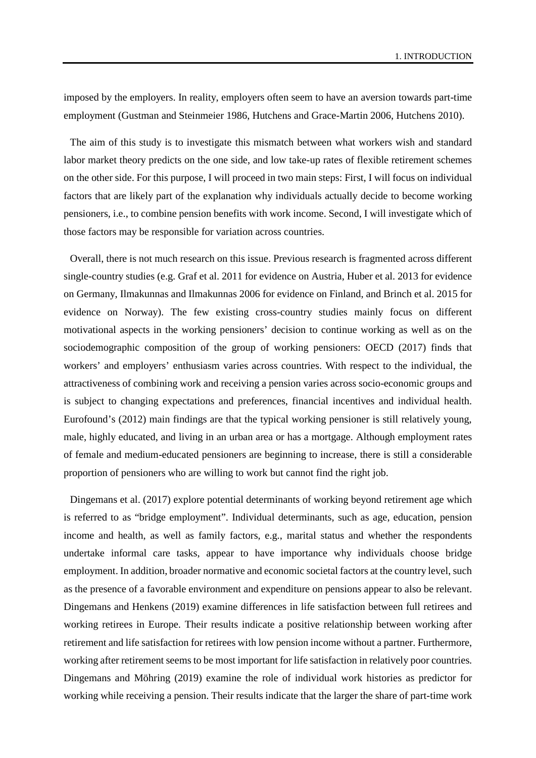imposed by the employers. In reality, employers often seem to have an aversion towards part-time employment (Gustman and Steinmeier 1986, Hutchens and Grace-Martin 2006, Hutchens 2010).

The aim of this study is to investigate this mismatch between what workers wish and standard labor market theory predicts on the one side, and low take-up rates of flexible retirement schemes on the other side. For this purpose, I will proceed in two main steps: First, I will focus on individual factors that are likely part of the explanation why individuals actually decide to become working pensioners, i.e., to combine pension benefits with work income. Second, I will investigate which of those factors may be responsible for variation across countries.

Overall, there is not much research on this issue. Previous research is fragmented across different single-country studies (e.g. Graf et al. 2011 for evidence on Austria, Huber et al. 2013 for evidence on Germany, Ilmakunnas and Ilmakunnas 2006 for evidence on Finland, and Brinch et al. 2015 for evidence on Norway). The few existing cross-country studies mainly focus on different motivational aspects in the working pensioners' decision to continue working as well as on the sociodemographic composition of the group of working pensioners: OECD (2017) finds that workers' and employers' enthusiasm varies across countries. With respect to the individual, the attractiveness of combining work and receiving a pension varies across socio-economic groups and is subject to changing expectations and preferences, financial incentives and individual health. Eurofound's (2012) main findings are that the typical working pensioner is still relatively young, male, highly educated, and living in an urban area or has a mortgage. Although employment rates of female and medium-educated pensioners are beginning to increase, there is still a considerable proportion of pensioners who are willing to work but cannot find the right job.

Dingemans et al. (2017) explore potential determinants of working beyond retirement age which is referred to as "bridge employment". Individual determinants, such as age, education, pension income and health, as well as family factors, e.g., marital status and whether the respondents undertake informal care tasks, appear to have importance why individuals choose bridge employment. In addition, broader normative and economic societal factors at the country level, such as the presence of a favorable environment and expenditure on pensions appear to also be relevant. Dingemans and Henkens (2019) examine differences in life satisfaction between full retirees and working retirees in Europe. Their results indicate a positive relationship between working after retirement and life satisfaction for retirees with low pension income without a partner. Furthermore, working after retirement seems to be most important for life satisfaction in relatively poor countries. Dingemans and Möhring (2019) examine the role of individual work histories as predictor for working while receiving a pension. Their results indicate that the larger the share of part-time work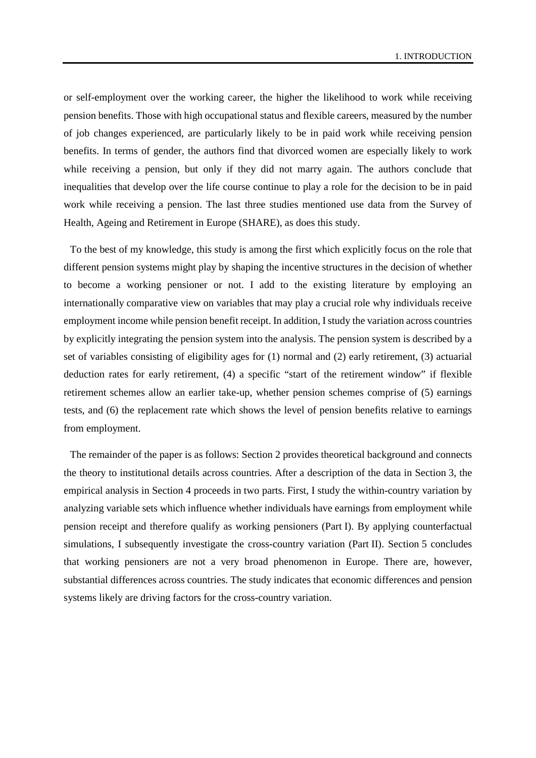or self-employment over the working career, the higher the likelihood to work while receiving pension benefits. Those with high occupational status and flexible careers, measured by the number of job changes experienced, are particularly likely to be in paid work while receiving pension benefits. In terms of gender, the authors find that divorced women are especially likely to work while receiving a pension, but only if they did not marry again. The authors conclude that inequalities that develop over the life course continue to play a role for the decision to be in paid work while receiving a pension. The last three studies mentioned use data from the Survey of Health, Ageing and Retirement in Europe (SHARE), as does this study.

To the best of my knowledge, this study is among the first which explicitly focus on the role that different pension systems might play by shaping the incentive structures in the decision of whether to become a working pensioner or not. I add to the existing literature by employing an internationally comparative view on variables that may play a crucial role why individuals receive employment income while pension benefit receipt. In addition, I study the variation across countries by explicitly integrating the pension system into the analysis. The pension system is described by a set of variables consisting of eligibility ages for (1) normal and (2) early retirement, (3) actuarial deduction rates for early retirement, (4) a specific "start of the retirement window" if flexible retirement schemes allow an earlier take-up, whether pension schemes comprise of (5) earnings tests, and (6) the replacement rate which shows the level of pension benefits relative to earnings from employment.

The remainder of the paper is as follows: Section 2 provides theoretical background and connects the theory to institutional details across countries. After a description of the data in Section 3, the empirical analysis in Section 4 proceeds in two parts. First, I study the within-country variation by analyzing variable sets which influence whether individuals have earnings from employment while pension receipt and therefore qualify as working pensioners (Part I). By applying counterfactual simulations, I subsequently investigate the cross-country variation (Part II). Section 5 concludes that working pensioners are not a very broad phenomenon in Europe. There are, however, substantial differences across countries. The study indicates that economic differences and pension systems likely are driving factors for the cross-country variation.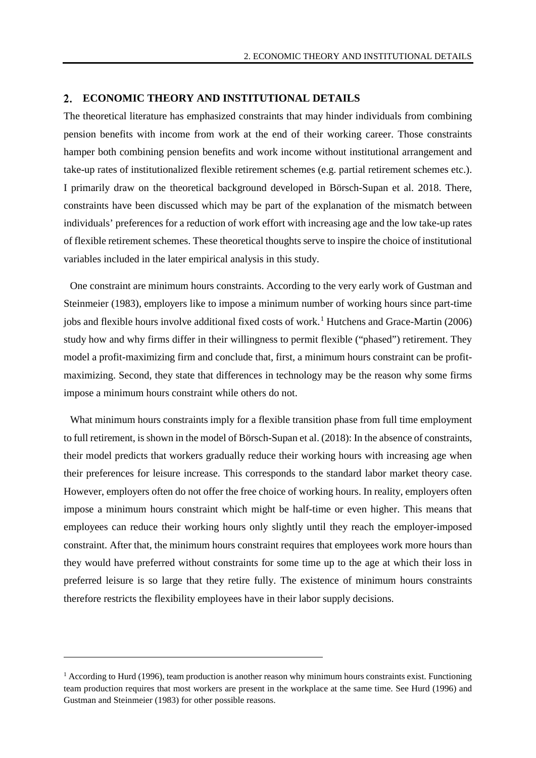#### **ECONOMIC THEORY AND INSTITUTIONAL DETAILS**

The theoretical literature has emphasized constraints that may hinder individuals from combining pension benefits with income from work at the end of their working career. Those constraints hamper both combining pension benefits and work income without institutional arrangement and take-up rates of institutionalized flexible retirement schemes (e.g. partial retirement schemes etc.). I primarily draw on the theoretical background developed in Börsch-Supan et al. 2018. There, constraints have been discussed which may be part of the explanation of the mismatch between individuals' preferences for a reduction of work effort with increasing age and the low take-up rates of flexible retirement schemes. These theoretical thoughts serve to inspire the choice of institutional variables included in the later empirical analysis in this study.

One constraint are minimum hours constraints. According to the very early work of Gustman and Steinmeier (1983), employers like to impose a minimum number of working hours since part-time jobs and flexible hours involve additional fixed costs of work.<sup>[1](#page-6-0)</sup> Hutchens and Grace-Martin (2006) study how and why firms differ in their willingness to permit flexible ("phased") retirement. They model a profit-maximizing firm and conclude that, first, a minimum hours constraint can be profitmaximizing. Second, they state that differences in technology may be the reason why some firms impose a minimum hours constraint while others do not.

What minimum hours constraints imply for a flexible transition phase from full time employment to full retirement, is shown in the model of Börsch-Supan et al. (2018): In the absence of constraints, their model predicts that workers gradually reduce their working hours with increasing age when their preferences for leisure increase. This corresponds to the standard labor market theory case. However, employers often do not offer the free choice of working hours. In reality, employers often impose a minimum hours constraint which might be half-time or even higher. This means that employees can reduce their working hours only slightly until they reach the employer-imposed constraint. After that, the minimum hours constraint requires that employees work more hours than they would have preferred without constraints for some time up to the age at which their loss in preferred leisure is so large that they retire fully. The existence of minimum hours constraints therefore restricts the flexibility employees have in their labor supply decisions.

 $\overline{a}$ 

<span id="page-6-0"></span> $<sup>1</sup>$  According to Hurd (1996), team production is another reason why minimum hours constraints exist. Functioning</sup> team production requires that most workers are present in the workplace at the same time. See Hurd (1996) and Gustman and Steinmeier (1983) for other possible reasons.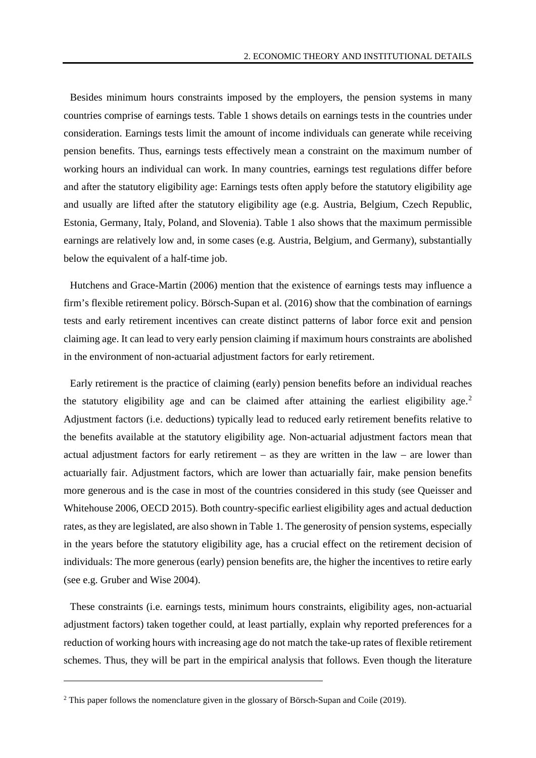Besides minimum hours constraints imposed by the employers, the pension systems in many countries comprise of earnings tests. [Table](#page-9-0) 1 shows details on earnings tests in the countries under consideration. Earnings tests limit the amount of income individuals can generate while receiving pension benefits. Thus, earnings tests effectively mean a constraint on the maximum number of working hours an individual can work. In many countries, earnings test regulations differ before and after the statutory eligibility age: Earnings tests often apply before the statutory eligibility age and usually are lifted after the statutory eligibility age (e.g. Austria, Belgium, Czech Republic, Estonia, Germany, Italy, Poland, and Slovenia). [Table](#page-9-0) 1 also shows that the maximum permissible earnings are relatively low and, in some cases (e.g. Austria, Belgium, and Germany), substantially below the equivalent of a half-time job.

Hutchens and Grace-Martin (2006) mention that the existence of earnings tests may influence a firm's flexible retirement policy. Börsch-Supan et al. (2016) show that the combination of earnings tests and early retirement incentives can create distinct patterns of labor force exit and pension claiming age. It can lead to very early pension claiming if maximum hours constraints are abolished in the environment of non-actuarial adjustment factors for early retirement.

Early retirement is the practice of claiming (early) pension benefits before an individual reaches the statutory eligibility age and can be claimed after attaining the earliest eligibility age.<sup>[2](#page-7-0)</sup> Adjustment factors (i.e. deductions) typically lead to reduced early retirement benefits relative to the benefits available at the statutory eligibility age. Non-actuarial adjustment factors mean that actual adjustment factors for early retirement – as they are written in the law – are lower than actuarially fair. Adjustment factors, which are lower than actuarially fair, make pension benefits more generous and is the case in most of the countries considered in this study (see Queisser and Whitehouse 2006, OECD 2015). Both country-specific earliest eligibility ages and actual deduction rates, as they are legislated, are also shown in [Table](#page-9-0) 1. The generosity of pension systems, especially in the years before the statutory eligibility age, has a crucial effect on the retirement decision of individuals: The more generous (early) pension benefits are, the higher the incentives to retire early (see e.g. Gruber and Wise 2004).

These constraints (i.e. earnings tests, minimum hours constraints, eligibility ages, non-actuarial adjustment factors) taken together could, at least partially, explain why reported preferences for a reduction of working hours with increasing age do not match the take-up rates of flexible retirement schemes. Thus, they will be part in the empirical analysis that follows. Even though the literature

 $\ddot{\phantom{a}}$ 

<span id="page-7-0"></span><sup>2</sup> This paper follows the nomenclature given in the glossary of Börsch-Supan and Coile (2019).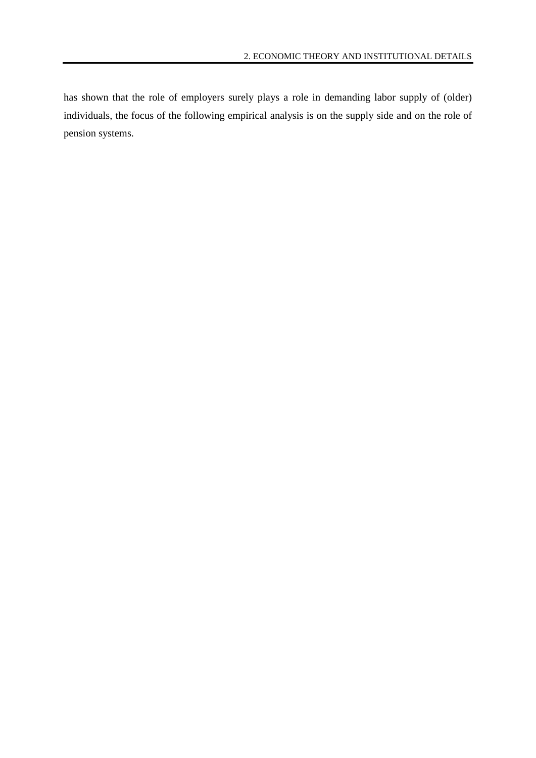has shown that the role of employers surely plays a role in demanding labor supply of (older) individuals, the focus of the following empirical analysis is on the supply side and on the role of pension systems.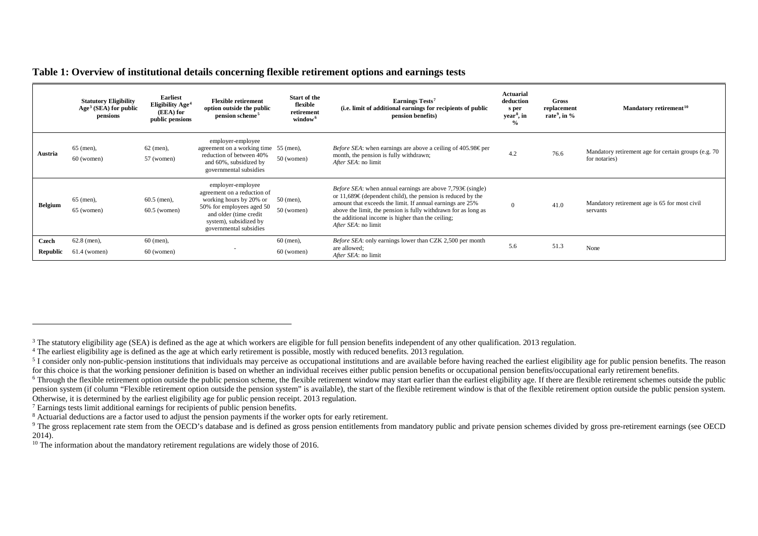<span id="page-9-8"></span><span id="page-9-7"></span><span id="page-9-6"></span><span id="page-9-5"></span><span id="page-9-4"></span><span id="page-9-3"></span><span id="page-9-2"></span><span id="page-9-1"></span>

| Table 1: Overview of institutional details concerning flexible retirement options and earnings tests |  |  |  |
|------------------------------------------------------------------------------------------------------|--|--|--|
|------------------------------------------------------------------------------------------------------|--|--|--|

|                   | <b>Statutory Eligibility</b><br>Age <sup>3</sup> (SEA) for public<br>pensions | <b>Earliest</b><br>Eligibility Age <sup>4</sup><br>(EEA) for<br>public pensions | <b>Flexible retirement</b><br>option outside the public<br>pension scheme <sup>5</sup>                                                                                                 | Start of the<br>flexible<br>retirement<br>window <sup>6</sup> | Earnings Tests <sup>7</sup><br>(i.e. limit of additional earnings for recipients of public<br>pension benefits)                                                                                                                                                                                                                                        | <b>Actuarial</b><br>deduction<br>s per<br>year <sup>8</sup> , in<br>$\frac{6}{6}$ | <b>Gross</b><br>replacement<br>rate <sup>9</sup> , in $\%$ | Mandatory retirement <sup>10</sup>                                    |
|-------------------|-------------------------------------------------------------------------------|---------------------------------------------------------------------------------|----------------------------------------------------------------------------------------------------------------------------------------------------------------------------------------|---------------------------------------------------------------|--------------------------------------------------------------------------------------------------------------------------------------------------------------------------------------------------------------------------------------------------------------------------------------------------------------------------------------------------------|-----------------------------------------------------------------------------------|------------------------------------------------------------|-----------------------------------------------------------------------|
| Austria           | $65$ (men),<br>$60$ (women)                                                   | $62$ (men),<br>57 (women)                                                       | employer-employee<br>agreement on a working time 55 (men),<br>reduction of between 40%<br>and 60%, subsidized by<br>governmental subsidies                                             | $50$ (women)                                                  | <i>Before SEA</i> : when earnings are above a ceiling of $405.98 \text{Eper}$<br>month, the pension is fully withdrawn;<br>After SEA: no limit                                                                                                                                                                                                         | 4.2                                                                               | 76.6                                                       | Mandatory retirement age for certain groups (e.g. 70<br>for notaries) |
| <b>Belgium</b>    | $65$ (men),<br>65 (women)                                                     | $60.5$ (men),<br>$60.5$ (women)                                                 | employer-employee<br>agreement on a reduction of<br>working hours by 20% or<br>50% for employees aged 50<br>and older (time credit<br>system), subsidized by<br>governmental subsidies | $50$ (men),<br>$50$ (women)                                   | <i>Before SEA</i> : when annual earnings are above $7,793 \in (single)$<br>or 11,689 $\in$ (dependent child), the pension is reduced by the<br>amount that exceeds the limit. If annual earnings are 25%<br>above the limit, the pension is fully withdrawn for as long as<br>the additional income is higher than the ceiling;<br>After SEA: no limit | $\Omega$                                                                          | 41.0                                                       | Mandatory retirement age is 65 for most civil<br>servants             |
| Czech<br>Republic | $62.8$ (men),<br>$61.4$ (women)                                               | $60$ (men),<br>$60$ (women)                                                     |                                                                                                                                                                                        | $60$ (men),<br>$60$ (women)                                   | <i>Before SEA</i> : only earnings lower than CZK 2,500 per month<br>are allowed;<br>After SEA: no limit                                                                                                                                                                                                                                                | 5.6                                                                               | 51.3                                                       | None                                                                  |

<sup>7</sup> Earnings tests limit additional earnings for recipients of public pension benefits.

<span id="page-9-0"></span>-

<sup>&</sup>lt;sup>3</sup> The statutory eligibility age (SEA) is defined as the age at which workers are eligible for full pension benefits independent of any other qualification. 2013 regulation.

<sup>&</sup>lt;sup>4</sup> The earliest eligibility age is defined as the age at which early retirement is possible, mostly with reduced benefits. 2013 regulation.

 $5$  I consider only non-public-pension institutions that individuals may perceive as occupational institutions and are available before having reached the earliest eligibility age for public pension benefits. The reason for this choice is that the working pensioner definition is based on whether an individual receives either public pension benefits or occupational pension benefits/occupational early retirement benefits.

 $6$  Through the flexible retirement option outside the public pension scheme, the flexible retirement window may start earlier than the earliest eligibility age. If there are flexible retirement schemes outside the public pension system (if column "Flexible retirement option outside the pension system" is available), the start of the flexible retirement window is that of the flexible retirement option outside the public pension system. Otherwise, it is determined by the earliest eligibility age for public pension receipt. 2013 regulation.

<sup>8</sup> Actuarial deductions are a factor used to adjust the pension payments if the worker opts for early retirement.

<sup>&</sup>lt;sup>9</sup> The gross replacement rate stem from the OECD's database and is defined as gross pension entitlements from mandatory public and private pension schemes divided by gross pre-retirement earnings (see OECD) 2014).

<sup>&</sup>lt;sup>10</sup> The information about the mandatory retirement regulations are widely those of 2016.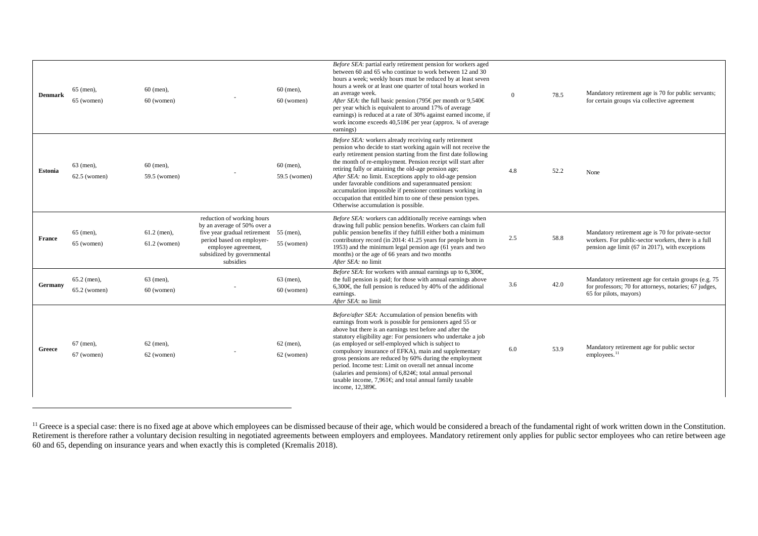<span id="page-10-0"></span>

| <b>Denmark</b> | $65$ (men),<br>65 (women)       | $60$ (men),<br>$60$ (women)     |                                                                                                                                                                                          | $60$ (men),<br>$60$ (women) | Before SEA: partial early retirement pension for workers aged<br>between 60 and 65 who continue to work between 12 and 30<br>hours a week; weekly hours must be reduced by at least seven<br>hours a week or at least one quarter of total hours worked in<br>an average week.<br>After SEA: the full basic pension (795 $\epsilon$ per month or 9,540 $\epsilon$ )<br>per year which is equivalent to around 17% of average<br>earnings) is reduced at a rate of 30% against earned income, if<br>work income exceeds 40,518€ per year (approx. 34 of average<br>earnings)                                                            | $\overline{0}$ | 78.5 | Mandatory retirement age is 70 for public servants;<br>for certain groups via collective agreement                                                          |
|----------------|---------------------------------|---------------------------------|------------------------------------------------------------------------------------------------------------------------------------------------------------------------------------------|-----------------------------|----------------------------------------------------------------------------------------------------------------------------------------------------------------------------------------------------------------------------------------------------------------------------------------------------------------------------------------------------------------------------------------------------------------------------------------------------------------------------------------------------------------------------------------------------------------------------------------------------------------------------------------|----------------|------|-------------------------------------------------------------------------------------------------------------------------------------------------------------|
| <b>Estonia</b> | $63$ (men).<br>$62.5$ (women)   | $60$ (men),<br>59.5 (women)     |                                                                                                                                                                                          | $60$ (men).<br>59.5 (women) | Before SEA: workers already receiving early retirement<br>pension who decide to start working again will not receive the<br>early retirement pension starting from the first date following<br>the month of re-employment. Pension receipt will start after<br>retiring fully or attaining the old-age pension age;<br>After SEA: no limit. Exceptions apply to old-age pension<br>under favorable conditions and superannuated pension:<br>accumulation impossible if pensioner continues working in<br>occupation that entitled him to one of these pension types.<br>Otherwise accumulation is possible.                            | 4.8            | 52.2 | None                                                                                                                                                        |
| France         | 65 (men),<br>65 (women)         | $61.2$ (men),<br>$61.2$ (women) | reduction of working hours<br>by an average of 50% over a<br>five year gradual retirement<br>period based on employer-<br>employee agreement,<br>subsidized by governmental<br>subsidies | $55$ (men),<br>55 (women)   | Before SEA: workers can additionally receive earnings when<br>drawing full public pension benefits. Workers can claim full<br>public pension benefits if they fulfill either both a minimum<br>contributory record (in 2014: 41.25 years for people born in<br>1953) and the minimum legal pension age (61 years and two<br>months) or the age of 66 years and two months<br>After SEA: no limit                                                                                                                                                                                                                                       | 2.5            | 58.8 | Mandatory retirement age is 70 for private-sector<br>workers. For public-sector workers, there is a full<br>pension age limit (67 in 2017), with exceptions |
| Germany        | $65.2$ (men),<br>$65.2$ (women) | 63 (men),<br>$60$ (women)       |                                                                                                                                                                                          | $63$ (men),<br>$60$ (women) | <i>Before SEA</i> : for workers with annual earnings up to 6,300 $\in$<br>the full pension is paid; for those with annual earnings above<br>6,300€ the full pension is reduced by 40% of the additional<br>earnings.<br>After SEA: no limit                                                                                                                                                                                                                                                                                                                                                                                            | 3.6            | 42.0 | Mandatory retirement age for certain groups (e.g. 75)<br>for professors; 70 for attorneys, notaries; 67 judges,<br>65 for pilots, mayors)                   |
| Greece         | 67 (men),<br>67 (women)         | $62$ (men),<br>62 (women)       |                                                                                                                                                                                          | $62$ (men),<br>62 (women)   | Before/after SEA: Accumulation of pension benefits with<br>earnings from work is possible for pensioners aged 55 or<br>above but there is an earnings test before and after the<br>statutory eligibility age: For pensioners who undertake a job<br>(as employed or self-employed which is subject to<br>compulsory insurance of EFKA), main and supplementary<br>gross pensions are reduced by 60% during the employment<br>period. Income test: Limit on overall net annual income<br>(salaries and pensions) of $6,824 \in$ total annual personal<br>taxable income, 7,961 $\in$ and total annual family taxable<br>income, 12,389€ | 6.0            | 53.9 | Mandatory retirement age for public sector<br>employees. <sup>11</sup>                                                                                      |

<sup>&</sup>lt;sup>11</sup> Greece is a special case: there is no fixed age at above which employees can be dismissed because of their age, which would be considered a breach of the fundamental right of work written down in the Constitution. Retirement is therefore rather a voluntary decision resulting in negotiated agreements between employers and employees. Mandatory retirement only applies for public sector employees who can retire between age 60 and 65, depending on insurance years and when exactly this is completed (Kremalis 2018).

-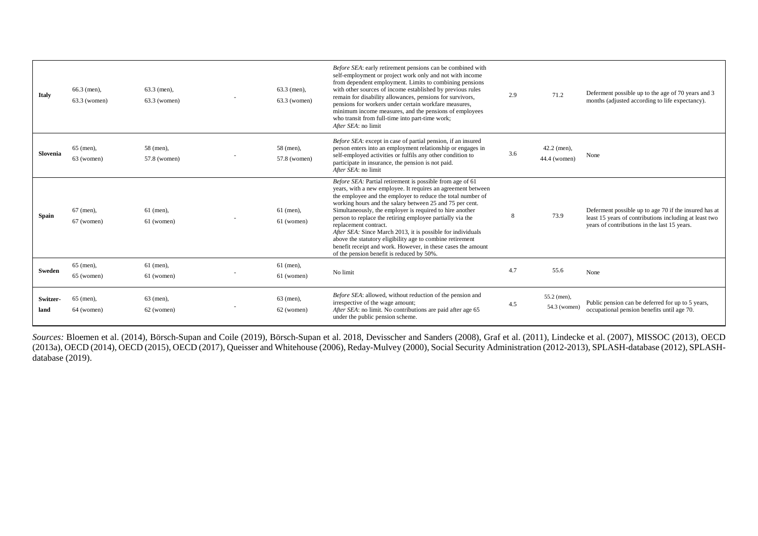| <b>Italy</b>     | $66.3$ (men),<br>$63.3$ (women) | $63.3$ (men).<br>$63.3$ (women) | $63.3$ (men).<br>$63.3$ (women) | Before SEA: early retirement pensions can be combined with<br>self-employment or project work only and not with income<br>from dependent employment. Limits to combining pensions<br>with other sources of income established by previous rules<br>remain for disability allowances, pensions for survivors,<br>pensions for workers under certain workfare measures,<br>minimum income measures, and the pensions of employees<br>who transit from full-time into part-time work;<br>After SEA: no limit                                                                                                                                       | 2.9 | 71.2                          | Deferment possible up to the age of 70 years and 3<br>months (adjusted according to life expectancy).                                                           |
|------------------|---------------------------------|---------------------------------|---------------------------------|-------------------------------------------------------------------------------------------------------------------------------------------------------------------------------------------------------------------------------------------------------------------------------------------------------------------------------------------------------------------------------------------------------------------------------------------------------------------------------------------------------------------------------------------------------------------------------------------------------------------------------------------------|-----|-------------------------------|-----------------------------------------------------------------------------------------------------------------------------------------------------------------|
| Slovenia         | 65 (men),<br>63 (women)         | 58 (men),<br>57.8 (women)       | 58 (men),<br>57.8 (women)       | Before SEA: except in case of partial pension, if an insured<br>person enters into an employment relationship or engages in<br>self-employed activities or fulfils any other condition to<br>participate in insurance, the pension is not paid.<br>After SEA: no limit                                                                                                                                                                                                                                                                                                                                                                          | 3.6 | $42.2$ (men),<br>44.4 (women) | None                                                                                                                                                            |
| <b>Spain</b>     | 67 (men),<br>67 (women)         | $61$ (men),<br>61 (women)       | $61$ (men),<br>61 (women)       | Before SEA: Partial retirement is possible from age of 61<br>years, with a new employee. It requires an agreement between<br>the employee and the employer to reduce the total number of<br>working hours and the salary between 25 and 75 per cent.<br>Simultaneously, the employer is required to hire another<br>person to replace the retiring employee partially via the<br>replacement contract.<br>After SEA: Since March 2013, it is possible for individuals<br>above the statutory eligibility age to combine retirement<br>benefit receipt and work. However, in these cases the amount<br>of the pension benefit is reduced by 50%. | 8   | 73.9                          | Deferment possible up to age 70 if the insured has at<br>least 15 years of contributions including at least two<br>years of contributions in the last 15 years. |
| Sweden           | 65 (men),<br>65 (women)         | $61$ (men),<br>61 (women)       | $61$ (men),<br>61 (women)       | No limit                                                                                                                                                                                                                                                                                                                                                                                                                                                                                                                                                                                                                                        | 4.7 | 55.6                          | None                                                                                                                                                            |
| Switzer-<br>land | $65$ (men),<br>64 (women)       | $63$ (men),<br>62 (women)       | 63 (men),<br>62 (women)         | Before SEA: allowed, without reduction of the pension and<br>irrespective of the wage amount;<br>After SEA: no limit. No contributions are paid after age 65<br>under the public pension scheme.                                                                                                                                                                                                                                                                                                                                                                                                                                                | 4.5 | 55.2 (men),<br>54.3 (women)   | Public pension can be deferred for up to 5 years,<br>occupational pension benefits until age 70.                                                                |

*Sources:* Bloemen et al. (2014), Börsch-Supan and Coile (2019), Börsch-Supan et al. 2018, Devisscher and Sanders (2008), Graf et al. (2011), Lindecke et al. (2007), MISSOC (2013), OECD (2013a), OECD (2014), OECD (2015), OECD (2017), Queisser and Whitehouse (2006), Reday-Mulvey (2000), Social Security Administration (2012-2013), SPLASH-database (2012), SPLASHdatabase (2019).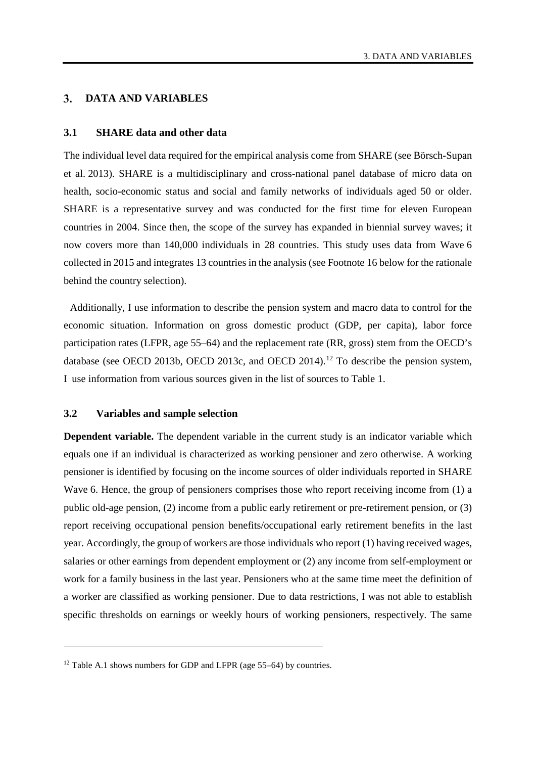#### 3. **DATA AND VARIABLES**

#### **3.1 SHARE data and other data**

The individual level data required for the empirical analysis come from SHARE (see Börsch-Supan et al. 2013). SHARE is a multidisciplinary and cross-national panel database of micro data on health, socio-economic status and social and family networks of individuals aged 50 or older. SHARE is a representative survey and was conducted for the first time for eleven European countries in 2004. Since then, the scope of the survey has expanded in biennial survey waves; it now covers more than 140,000 individuals in 28 countries. This study uses data from Wave 6 collected in 2015 and integrates 13 countries in the analysis (see Footnote 16 below for the rationale behind the country selection).

Additionally, I use information to describe the pension system and macro data to control for the economic situation. Information on gross domestic product (GDP, per capita), labor force participation rates (LFPR, age 55–64) and the replacement rate (RR, gross) stem from the OECD's database (see OECD 2013b, OECD 2013c, and OECD 2014).<sup>[12](#page-12-0)</sup> To describe the pension system, I use information from various sources given in the list of sources to [Table](#page-9-0) 1.

#### **3.2 Variables and sample selection**

 $\overline{a}$ 

**Dependent variable.** The dependent variable in the current study is an indicator variable which equals one if an individual is characterized as working pensioner and zero otherwise. A working pensioner is identified by focusing on the income sources of older individuals reported in SHARE Wave 6. Hence, the group of pensioners comprises those who report receiving income from (1) a public old-age pension, (2) income from a public early retirement or pre-retirement pension, or (3) report receiving occupational pension benefits/occupational early retirement benefits in the last year. Accordingly, the group of workers are those individuals who report (1) having received wages, salaries or other earnings from dependent employment or (2) any income from self-employment or work for a family business in the last year. Pensioners who at the same time meet the definition of a worker are classified as working pensioner. Due to data restrictions, I was not able to establish specific thresholds on earnings or weekly hours of working pensioners, respectively. The same

<span id="page-12-0"></span><sup>&</sup>lt;sup>12</sup> [Table](#page-36-0) A.1 shows numbers for GDP and LFPR (age  $55-64$ ) by countries.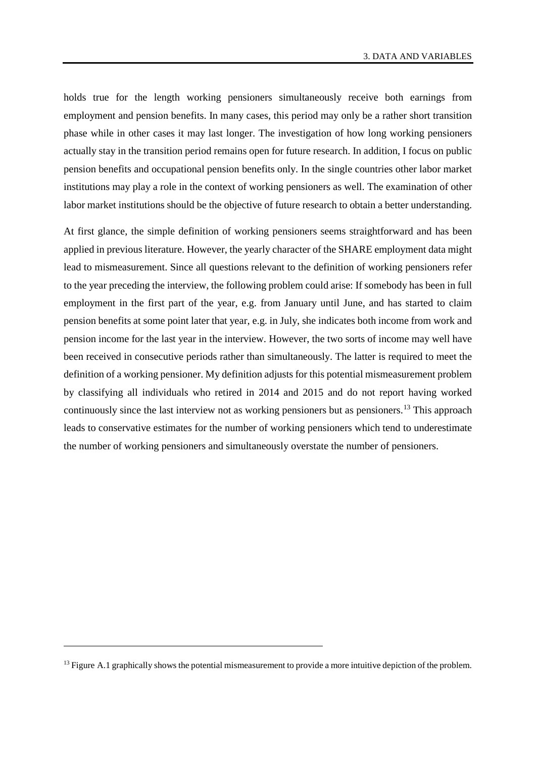holds true for the length working pensioners simultaneously receive both earnings from employment and pension benefits. In many cases, this period may only be a rather short transition phase while in other cases it may last longer. The investigation of how long working pensioners actually stay in the transition period remains open for future research. In addition, I focus on public pension benefits and occupational pension benefits only. In the single countries other labor market institutions may play a role in the context of working pensioners as well. The examination of other labor market institutions should be the objective of future research to obtain a better understanding.

At first glance, the simple definition of working pensioners seems straightforward and has been applied in previous literature. However, the yearly character of the SHARE employment data might lead to mismeasurement. Since all questions relevant to the definition of working pensioners refer to the year preceding the interview, the following problem could arise: If somebody has been in full employment in the first part of the year, e.g. from January until June, and has started to claim pension benefits at some point later that year, e.g. in July, she indicates both income from work and pension income for the last year in the interview. However, the two sorts of income may well have been received in consecutive periods rather than simultaneously. The latter is required to meet the definition of a working pensioner. My definition adjusts for this potential mismeasurement problem by classifying all individuals who retired in 2014 and 2015 and do not report having worked continuously since the last interview not as working pensioners but as pensioners.[13](#page-13-0) This approach leads to conservative estimates for the number of working pensioners which tend to underestimate the number of working pensioners and simultaneously overstate the number of pensioners.

 $\overline{a}$ 

<span id="page-13-0"></span> $13$  [Figure](#page-35-0) A.1 graphically shows the potential mismeasurement to provide a more intuitive depiction of the problem.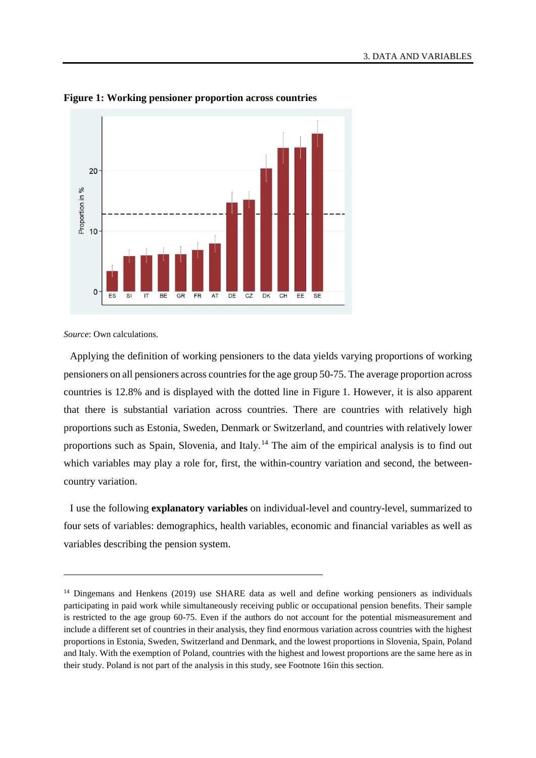

**Figure 1: Working pensioner proportion across countries**

*Source*: Own calculations.

 $\overline{a}$ 

Applying the definition of working pensioners to the data yields varying proportions of working pensioners on all pensioners across countries for the age group 50-75. The average proportion across countries is 12.8% and is displayed with the dotted line in Figure 1. However, it is also apparent that there is substantial variation across countries. There are countries with relatively high proportions such as Estonia, Sweden, Denmark or Switzerland, and countries with relatively lower proportions such as Spain, Slovenia, and Italy.<sup>[14](#page-14-0)</sup> The aim of the empirical analysis is to find out which variables may play a role for, first, the within-country variation and second, the betweencountry variation.

I use the following **explanatory variables** on individual-level and country-level, summarized to four sets of variables: demographics, health variables, economic and financial variables as well as variables describing the pension system.

<span id="page-14-0"></span><sup>&</sup>lt;sup>14</sup> Dingemans and Henkens (2019) use SHARE data as well and define working pensioners as individuals participating in paid work while simultaneously receiving public or occupational pension benefits. Their sample is restricted to the age group 60-75. Even if the authors do not account for the potential mismeasurement and include a different set of countries in their analysis, they find enormous variation across countries with the highest proportions in Estonia, Sweden, Switzerland and Denmark, and the lowest proportions in Slovenia, Spain, Poland and Italy. With the exemption of Poland, countries with the highest and lowest proportions are the same here as in their study. Poland is not part of the analysis in this study, see Footnote 16in this section.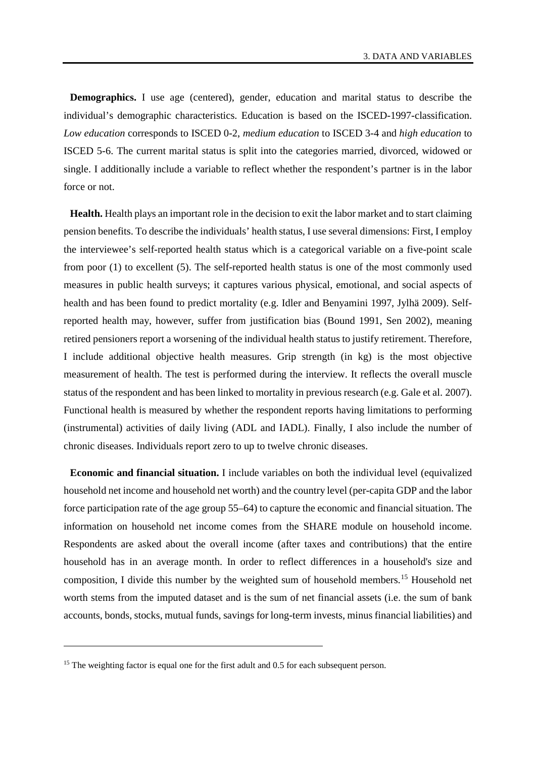**Demographics.** I use age (centered), gender, education and marital status to describe the individual's demographic characteristics. Education is based on the ISCED-1997-classification. *Low education* corresponds to ISCED 0-2, *medium education* to ISCED 3-4 and *high education* to ISCED 5-6. The current marital status is split into the categories married, divorced, widowed or single. I additionally include a variable to reflect whether the respondent's partner is in the labor force or not.

**Health.** Health plays an important role in the decision to exit the labor market and to start claiming pension benefits. To describe the individuals' health status, I use several dimensions: First, I employ the interviewee's self-reported health status which is a categorical variable on a five-point scale from poor (1) to excellent (5). The self-reported health status is one of the most commonly used measures in public health surveys; it captures various physical, emotional, and social aspects of health and has been found to predict mortality (e.g. Idler and Benyamini 1997, Jylhä 2009). Selfreported health may, however, suffer from justification bias (Bound 1991, Sen 2002), meaning retired pensioners report a worsening of the individual health status to justify retirement. Therefore, I include additional objective health measures. Grip strength (in kg) is the most objective measurement of health. The test is performed during the interview. It reflects the overall muscle status of the respondent and has been linked to mortality in previous research (e.g. Gale et al. 2007). Functional health is measured by whether the respondent reports having limitations to performing (instrumental) activities of daily living (ADL and IADL). Finally, I also include the number of chronic diseases. Individuals report zero to up to twelve chronic diseases.

**Economic and financial situation.** I include variables on both the individual level (equivalized household net income and household net worth) and the country level (per-capita GDP and the labor force participation rate of the age group 55–64) to capture the economic and financial situation. The information on household net income comes from the SHARE module on household income. Respondents are asked about the overall income (after taxes and contributions) that the entire household has in an average month. In order to reflect differences in a household's size and composition, I divide this number by the weighted sum of household members.<sup>[15](#page-15-0)</sup> Household net worth stems from the imputed dataset and is the sum of net financial assets (i.e. the sum of bank accounts, bonds, stocks, mutual funds, savings for long-term invests, minus financial liabilities) and

 $\overline{a}$ 

<span id="page-15-0"></span><sup>&</sup>lt;sup>15</sup> The weighting factor is equal one for the first adult and 0.5 for each subsequent person.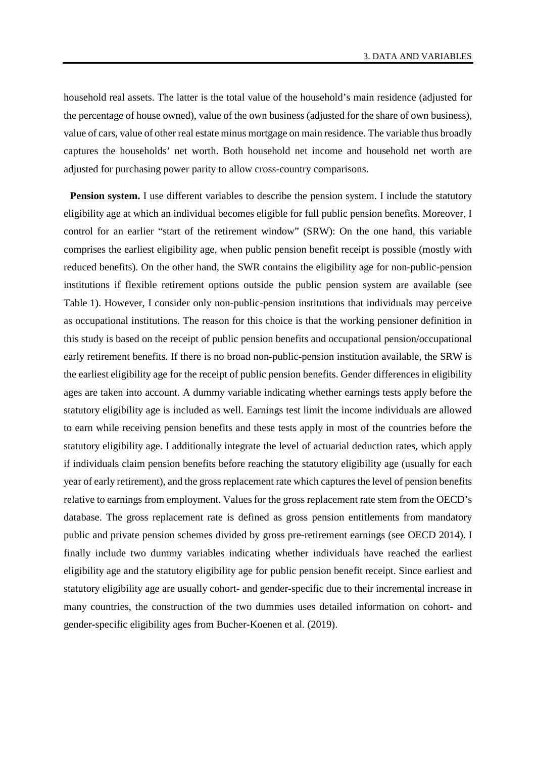household real assets. The latter is the total value of the household's main residence (adjusted for the percentage of house owned), value of the own business (adjusted for the share of own business), value of cars, value of other real estate minus mortgage on main residence. The variable thus broadly captures the households' net worth. Both household net income and household net worth are adjusted for purchasing power parity to allow cross-country comparisons.

**Pension system.** I use different variables to describe the pension system. I include the statutory eligibility age at which an individual becomes eligible for full public pension benefits. Moreover, I control for an earlier "start of the retirement window" (SRW): On the one hand, this variable comprises the earliest eligibility age, when public pension benefit receipt is possible (mostly with reduced benefits). On the other hand, the SWR contains the eligibility age for non-public-pension institutions if flexible retirement options outside the public pension system are available (see [Table](#page-9-0) 1). However, I consider only non-public-pension institutions that individuals may perceive as occupational institutions. The reason for this choice is that the working pensioner definition in this study is based on the receipt of public pension benefits and occupational pension/occupational early retirement benefits. If there is no broad non-public-pension institution available, the SRW is the earliest eligibility age for the receipt of public pension benefits. Gender differences in eligibility ages are taken into account. A dummy variable indicating whether earnings tests apply before the statutory eligibility age is included as well. Earnings test limit the income individuals are allowed to earn while receiving pension benefits and these tests apply in most of the countries before the statutory eligibility age. I additionally integrate the level of actuarial deduction rates, which apply if individuals claim pension benefits before reaching the statutory eligibility age (usually for each year of early retirement), and the gross replacement rate which captures the level of pension benefits relative to earnings from employment. Values for the gross replacement rate stem from the OECD's database. The gross replacement rate is defined as gross pension entitlements from mandatory public and private pension schemes divided by gross pre-retirement earnings (see OECD 2014). I finally include two dummy variables indicating whether individuals have reached the earliest eligibility age and the statutory eligibility age for public pension benefit receipt. Since earliest and statutory eligibility age are usually cohort- and gender-specific due to their incremental increase in many countries, the construction of the two dummies uses detailed information on cohort- and gender-specific eligibility ages from Bucher-Koenen et al. (2019).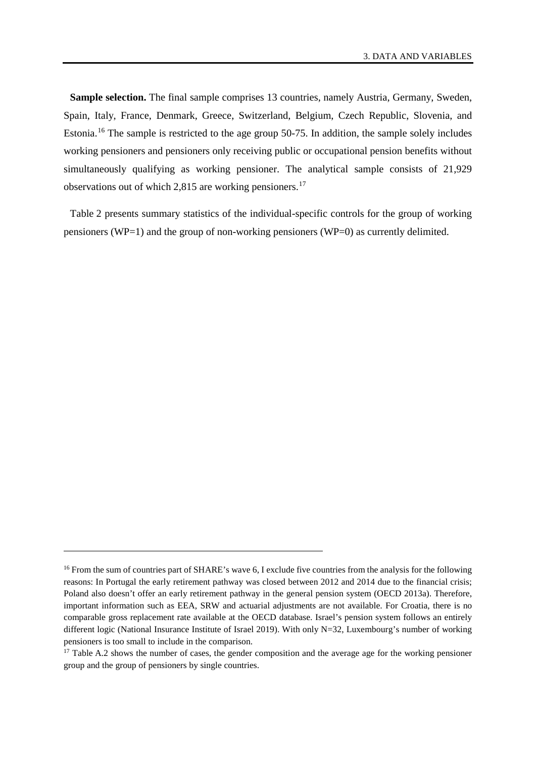**Sample selection.** The final sample comprises 13 countries, namely Austria, Germany, Sweden, Spain, Italy, France, Denmark, Greece, Switzerland, Belgium, Czech Republic, Slovenia, and Estonia.[16](#page-17-0) The sample is restricted to the age group 50-75. In addition, the sample solely includes working pensioners and pensioners only receiving public or occupational pension benefits without simultaneously qualifying as working pensioner. The analytical sample consists of 21,929 observations out of which 2,815 are working pensioners.<sup>[17](#page-17-1)</sup>

Table 2 presents summary statistics of the individual-specific controls for the group of working pensioners (WP=1) and the group of non-working pensioners (WP=0) as currently delimited.

-

<span id="page-17-0"></span><sup>&</sup>lt;sup>16</sup> From the sum of countries part of SHARE's wave 6, I exclude five countries from the analysis for the following reasons: In Portugal the early retirement pathway was closed between 2012 and 2014 due to the financial crisis; Poland also doesn't offer an early retirement pathway in the general pension system (OECD 2013a). Therefore, important information such as EEA, SRW and actuarial adjustments are not available. For Croatia, there is no comparable gross replacement rate available at the OECD database. Israel's pension system follows an entirely different logic (National Insurance Institute of Israel 2019). With only N=32, Luxembourg's number of working pensioners is too small to include in the comparison.

<span id="page-17-1"></span><sup>&</sup>lt;sup>17</sup> [Table](#page-36-1) A.2 shows the number of cases, the gender composition and the average age for the working pensioner group and the group of pensioners by single countries.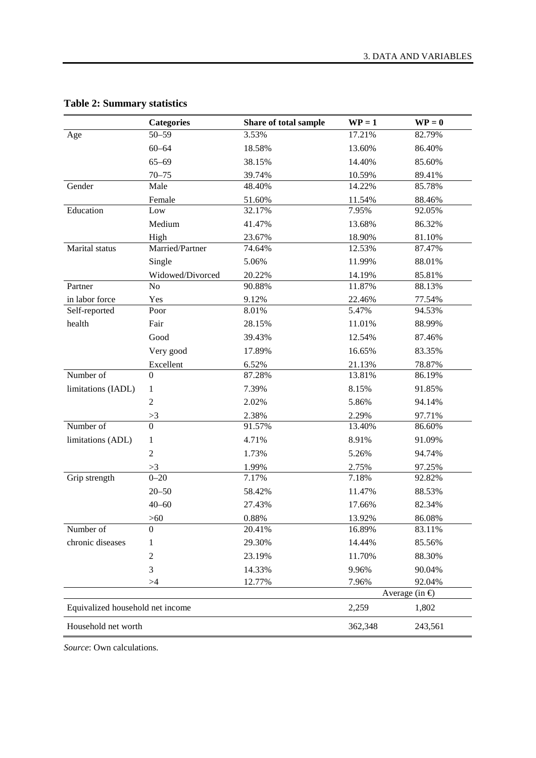|                                  | <b>Categories</b> | Share of total sample | $WP = 1$             | $\mathbf{WP} = \mathbf{0}$ |  |  |
|----------------------------------|-------------------|-----------------------|----------------------|----------------------------|--|--|
| Age                              | $50 - 59$         | 3.53%                 | 17.21%               | 82.79%                     |  |  |
|                                  | $60 - 64$         | 18.58%                | 13.60%               | 86.40%                     |  |  |
|                                  | $65 - 69$         | 38.15%                | 14.40%               | 85.60%                     |  |  |
|                                  | $70 - 75$         | 39.74%                | 10.59%               | 89.41%                     |  |  |
| Gender                           | Male              | 48.40%                | 14.22%               | 85.78%                     |  |  |
|                                  | Female            | 51.60%                | 11.54%               | 88.46%                     |  |  |
| Education                        | Low               | 32.17%                | 7.95%                | 92.05%                     |  |  |
|                                  | Medium            | 41.47%                | 13.68%               | 86.32%                     |  |  |
|                                  | High              | 23.67%                | 18.90%               | 81.10%                     |  |  |
| Marital status                   | Married/Partner   | 74.64%                | 12.53%               | 87.47%                     |  |  |
|                                  | Single            | 5.06%                 | 11.99%               | 88.01%                     |  |  |
|                                  | Widowed/Divorced  | 20.22%                | 14.19%               | 85.81%                     |  |  |
| Partner                          | No                | 90.88%                | 11.87%               | 88.13%                     |  |  |
| in labor force                   | Yes               | 9.12%                 | 22.46%               | 77.54%                     |  |  |
| Self-reported                    | Poor              | 8.01%                 | 5.47%                | 94.53%                     |  |  |
| health                           | Fair              | 28.15%                | 11.01%               | 88.99%                     |  |  |
|                                  | Good              | 39.43%                | 12.54%               | 87.46%                     |  |  |
|                                  | Very good         | 17.89%                | 16.65%               | 83.35%                     |  |  |
|                                  | Excellent         | 6.52%                 | 21.13%               | 78.87%                     |  |  |
| Number of                        | $\overline{0}$    | 87.28%                | 13.81%               | 86.19%                     |  |  |
| limitations (IADL)               | 1                 | 7.39%                 | 8.15%                | 91.85%                     |  |  |
|                                  | $\overline{2}$    | 2.02%                 | 5.86%                | 94.14%                     |  |  |
|                                  | >3                | 2.38%                 | 2.29%                | 97.71%                     |  |  |
| Number of                        | $\overline{0}$    | 91.57%                | 13.40%               | 86.60%                     |  |  |
| limitations (ADL)                | 1                 | 4.71%                 | 8.91%                | 91.09%                     |  |  |
|                                  | $\overline{2}$    | 1.73%                 | 5.26%                | 94.74%                     |  |  |
|                                  | >3                | 1.99%                 | 2.75%                | 97.25%                     |  |  |
| Grip strength                    | $0 - 20$          | 7.17%                 | 7.18%                | 92.82%                     |  |  |
|                                  | $20 - 50$         | 58.42%                | 11.47%               | 88.53%                     |  |  |
|                                  | $40 - 60$         | 27.43%                | 17.66%               | 82.34%                     |  |  |
|                                  | $>60$             | 0.88%                 | 13.92%               | 86.08%                     |  |  |
| Number of                        | $\boldsymbol{0}$  | 20.41%                | 16.89%               | 83.11%                     |  |  |
| chronic diseases                 | 1                 | 29.30%                | 14.44%               | 85.56%                     |  |  |
|                                  | $\sqrt{2}$        | 23.19%                | 11.70%               | 88.30%                     |  |  |
|                                  | 3                 | 14.33%                | 9.96%                | 90.04%                     |  |  |
|                                  | >4                | 12.77%                | 7.96%                | 92.04%                     |  |  |
|                                  |                   |                       | Average (in $\oplus$ |                            |  |  |
| Equivalized household net income |                   |                       | 2,259                | 1,802                      |  |  |
| Household net worth              |                   |                       | 362,348              | 243,561                    |  |  |

# **Table 2: Summary statistics**

*Source*: Own calculations.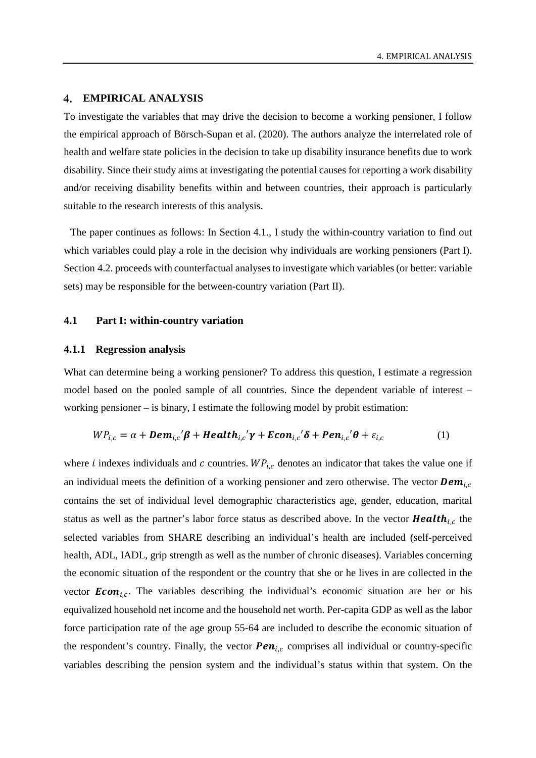#### **EMPIRICAL ANALYSIS**

To investigate the variables that may drive the decision to become a working pensioner, I follow the empirical approach of Börsch-Supan et al. (2020). The authors analyze the interrelated role of health and welfare state policies in the decision to take up disability insurance benefits due to work disability. Since their study aims at investigating the potential causes for reporting a work disability and/or receiving disability benefits within and between countries, their approach is particularly suitable to the research interests of this analysis.

The paper continues as follows: In Section 4.1., I study the within-country variation to find out which variables could play a role in the decision why individuals are working pensioners (Part I). Section 4.2. proceeds with counterfactual analyses to investigate which variables (or better: variable sets) may be responsible for the between-country variation (Part II).

#### **4.1 Part I: within-country variation**

#### **4.1.1 Regression analysis**

What can determine being a working pensioner? To address this question, I estimate a regression model based on the pooled sample of all countries. Since the dependent variable of interest – working pensioner – is binary, I estimate the following model by probit estimation:

$$
WP_{i,c} = \alpha + \textit{Dem}_{i,c}'\beta + \textit{Health}_{i,c}'\gamma + \textit{Econ}_{i,c}'\delta + \textit{Pen}_{i,c}'\theta + \varepsilon_{i,c}
$$
 (1)

where *i* indexes individuals and *c* countries.  $WP_{i,c}$  denotes an indicator that takes the value one if an individual meets the definition of a working pensioner and zero otherwise. The vector  $Dem_{i,c}$ contains the set of individual level demographic characteristics age, gender, education, marital status as well as the partner's labor force status as described above. In the vector **Health**<sub>ic</sub> the selected variables from SHARE describing an individual's health are included (self-perceived health, ADL, IADL, grip strength as well as the number of chronic diseases). Variables concerning the economic situation of the respondent or the country that she or he lives in are collected in the vector  $Econ_{i,c}$ . The variables describing the individual's economic situation are her or his equivalized household net income and the household net worth. Per-capita GDP as well as the labor force participation rate of the age group 55-64 are included to describe the economic situation of the respondent's country. Finally, the vector  $\boldsymbol{Pen}_{i,c}$  comprises all individual or country-specific variables describing the pension system and the individual's status within that system. On the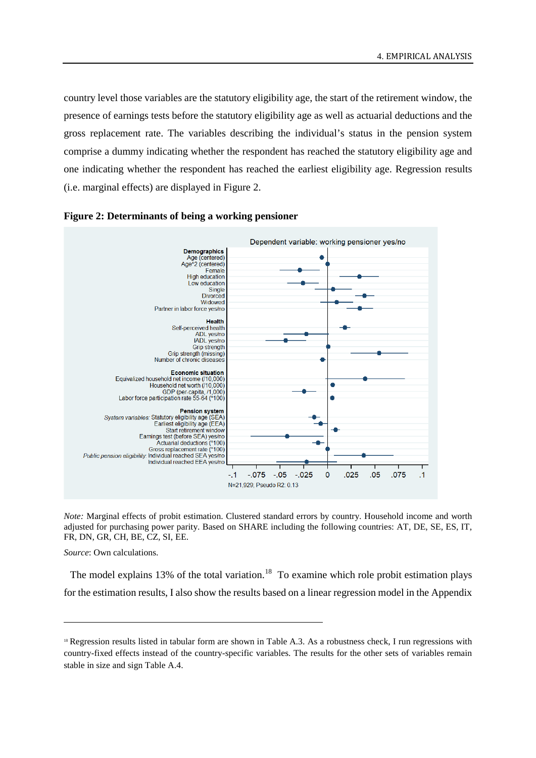country level those variables are the statutory eligibility age, the start of the retirement window, the presence of earnings tests before the statutory eligibility age as well as actuarial deductions and the gross replacement rate. The variables describing the individual's status in the pension system comprise a dummy indicating whether the respondent has reached the statutory eligibility age and one indicating whether the respondent has reached the earliest eligibility age. Regression results (i.e. marginal effects) are displayed in Figure 2.





*Note:* Marginal effects of probit estimation. Clustered standard errors by country. Household income and worth adjusted for purchasing power parity. Based on SHARE including the following countries: AT, DE, SE, ES, IT, FR, DN, GR, CH, BE, CZ, SI, EE.

*Source*: Own calculations.

-

The model explains 13% of the total variation.<sup>[18](#page-20-0)</sup> To examine which role probit estimation plays for the estimation results, I also show the results based on a linear regression model in the Appendix

<span id="page-20-0"></span><sup>&</sup>lt;sup>18</sup> Regression results listed in tabular form are shown in [Table](#page-37-0) A.3. As a robustness check, I run regressions with country-fixed effects instead of the country-specific variables. The results for the other sets of variables remain stable in size and sign [Table](#page-39-0) A.4.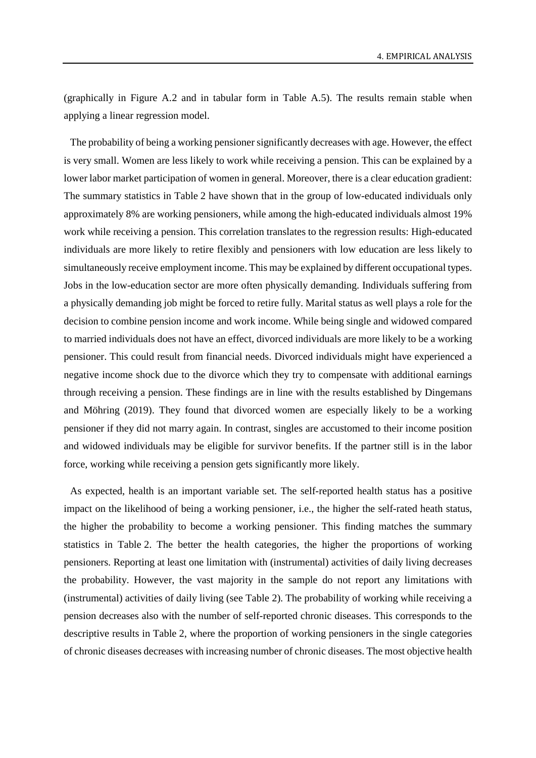(graphically in Figure A.2 and in tabular form in Table A.5). The results remain stable when applying a linear regression model.

The probability of being a working pensioner significantly decreases with age. However, the effect is very small. Women are less likely to work while receiving a pension. This can be explained by a lower labor market participation of women in general. Moreover, there is a clear education gradient: The summary statistics in Table 2 have shown that in the group of low-educated individuals only approximately 8% are working pensioners, while among the high-educated individuals almost 19% work while receiving a pension. This correlation translates to the regression results: High-educated individuals are more likely to retire flexibly and pensioners with low education are less likely to simultaneously receive employment income. This may be explained by different occupational types. Jobs in the low-education sector are more often physically demanding. Individuals suffering from a physically demanding job might be forced to retire fully. Marital status as well plays a role for the decision to combine pension income and work income. While being single and widowed compared to married individuals does not have an effect, divorced individuals are more likely to be a working pensioner. This could result from financial needs. Divorced individuals might have experienced a negative income shock due to the divorce which they try to compensate with additional earnings through receiving a pension. These findings are in line with the results established by Dingemans and Möhring (2019). They found that divorced women are especially likely to be a working pensioner if they did not marry again. In contrast, singles are accustomed to their income position and widowed individuals may be eligible for survivor benefits. If the partner still is in the labor force, working while receiving a pension gets significantly more likely.

As expected, health is an important variable set. The self-reported health status has a positive impact on the likelihood of being a working pensioner, i.e., the higher the self-rated heath status, the higher the probability to become a working pensioner. This finding matches the summary statistics in Table 2. The better the health categories, the higher the proportions of working pensioners. Reporting at least one limitation with (instrumental) activities of daily living decreases the probability. However, the vast majority in the sample do not report any limitations with (instrumental) activities of daily living (see Table 2). The probability of working while receiving a pension decreases also with the number of self-reported chronic diseases. This corresponds to the descriptive results in Table 2, where the proportion of working pensioners in the single categories of chronic diseases decreases with increasing number of chronic diseases. The most objective health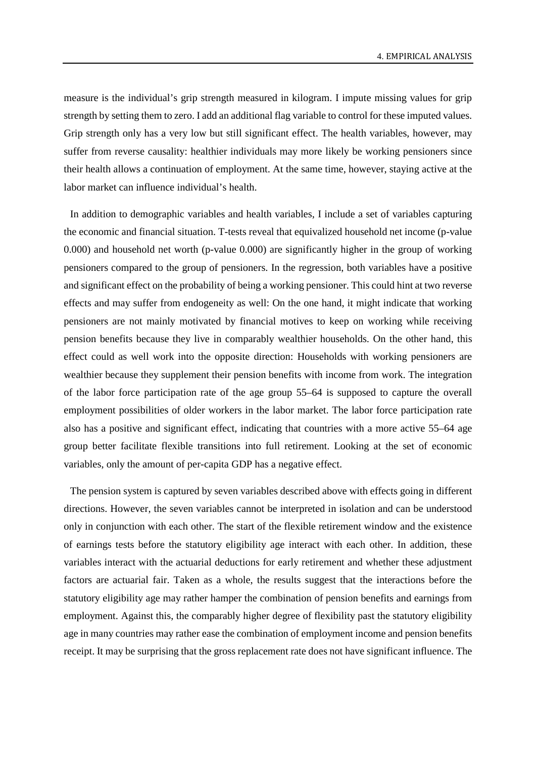measure is the individual's grip strength measured in kilogram. I impute missing values for grip strength by setting them to zero. I add an additional flag variable to control for these imputed values. Grip strength only has a very low but still significant effect. The health variables, however, may suffer from reverse causality: healthier individuals may more likely be working pensioners since their health allows a continuation of employment. At the same time, however, staying active at the labor market can influence individual's health.

In addition to demographic variables and health variables, I include a set of variables capturing the economic and financial situation. T-tests reveal that equivalized household net income (p-value 0.000) and household net worth (p-value 0.000) are significantly higher in the group of working pensioners compared to the group of pensioners. In the regression, both variables have a positive and significant effect on the probability of being a working pensioner. This could hint at two reverse effects and may suffer from endogeneity as well: On the one hand, it might indicate that working pensioners are not mainly motivated by financial motives to keep on working while receiving pension benefits because they live in comparably wealthier households. On the other hand, this effect could as well work into the opposite direction: Households with working pensioners are wealthier because they supplement their pension benefits with income from work. The integration of the labor force participation rate of the age group 55–64 is supposed to capture the overall employment possibilities of older workers in the labor market. The labor force participation rate also has a positive and significant effect, indicating that countries with a more active 55–64 age group better facilitate flexible transitions into full retirement. Looking at the set of economic variables, only the amount of per-capita GDP has a negative effect.

The pension system is captured by seven variables described above with effects going in different directions. However, the seven variables cannot be interpreted in isolation and can be understood only in conjunction with each other. The start of the flexible retirement window and the existence of earnings tests before the statutory eligibility age interact with each other. In addition, these variables interact with the actuarial deductions for early retirement and whether these adjustment factors are actuarial fair. Taken as a whole, the results suggest that the interactions before the statutory eligibility age may rather hamper the combination of pension benefits and earnings from employment. Against this, the comparably higher degree of flexibility past the statutory eligibility age in many countries may rather ease the combination of employment income and pension benefits receipt. It may be surprising that the gross replacement rate does not have significant influence. The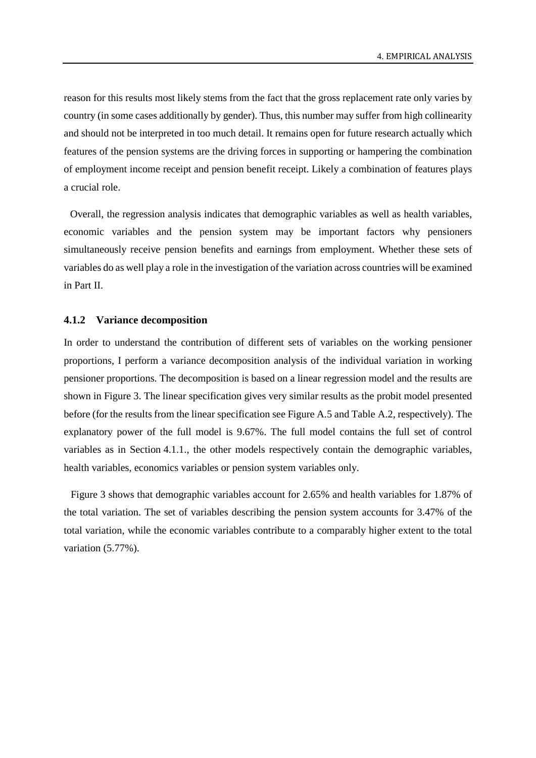reason for this results most likely stems from the fact that the gross replacement rate only varies by country (in some cases additionally by gender). Thus, this number may suffer from high collinearity and should not be interpreted in too much detail. It remains open for future research actually which features of the pension systems are the driving forces in supporting or hampering the combination of employment income receipt and pension benefit receipt. Likely a combination of features plays a crucial role.

Overall, the regression analysis indicates that demographic variables as well as health variables, economic variables and the pension system may be important factors why pensioners simultaneously receive pension benefits and earnings from employment. Whether these sets of variables do as well play a role in the investigation of the variation across countries will be examined in Part II.

#### **4.1.2 Variance decomposition**

In order to understand the contribution of different sets of variables on the working pensioner proportions, I perform a variance decomposition analysis of the individual variation in working pensioner proportions. The decomposition is based on a linear regression model and the results are shown in [Figure](#page-24-0) 3. The linear specification gives very similar results as the probit model presented before (for the results from the linear specification see Figure A.5 and Table A.2, respectively). The explanatory power of the full model is 9.67%. The full model contains the full set of control variables as in Section 4.1.1., the other models respectively contain the demographic variables, health variables, economics variables or pension system variables only.

[Figure](#page-24-0) 3 shows that demographic variables account for 2.65% and health variables for 1.87% of the total variation. The set of variables describing the pension system accounts for 3.47% of the total variation, while the economic variables contribute to a comparably higher extent to the total variation (5.77%).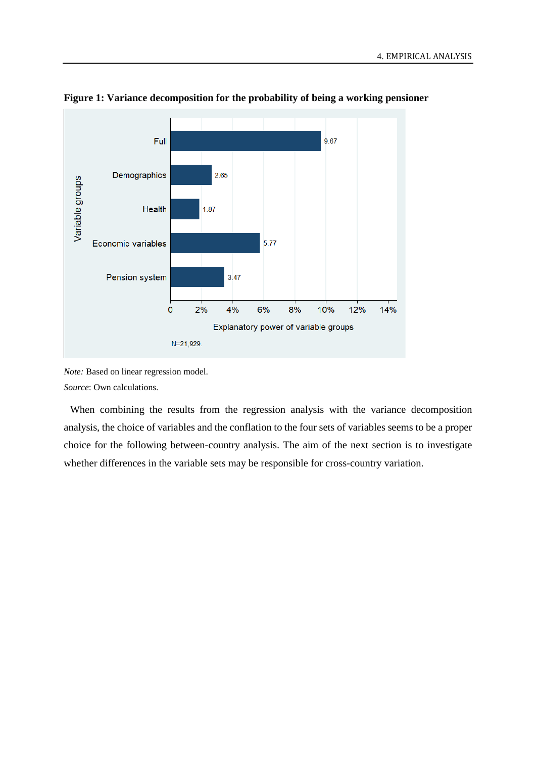

<span id="page-24-0"></span>**Figure 1: Variance decomposition for the probability of being a working pensioner**

*Note:* Based on linear regression model. *Source*: Own calculations.

When combining the results from the regression analysis with the variance decomposition analysis, the choice of variables and the conflation to the four sets of variables seems to be a proper choice for the following between-country analysis. The aim of the next section is to investigate whether differences in the variable sets may be responsible for cross-country variation.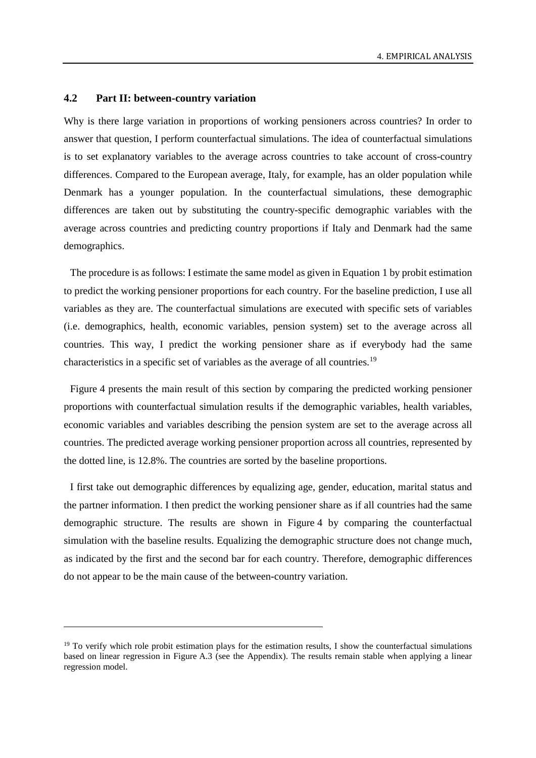#### **4.2 Part II: between-country variation**

-

Why is there large variation in proportions of working pensioners across countries? In order to answer that question, I perform counterfactual simulations. The idea of counterfactual simulations is to set explanatory variables to the average across countries to take account of cross-country differences. Compared to the European average, Italy, for example, has an older population while Denmark has a younger population. In the counterfactual simulations, these demographic differences are taken out by substituting the country-specific demographic variables with the average across countries and predicting country proportions if Italy and Denmark had the same demographics.

The procedure is as follows: I estimate the same model as given in Equation 1 by probit estimation to predict the working pensioner proportions for each country. For the baseline prediction, I use all variables as they are. The counterfactual simulations are executed with specific sets of variables (i.e. demographics, health, economic variables, pension system) set to the average across all countries. This way, I predict the working pensioner share as if everybody had the same characteristics in a specific set of variables as the average of all countries.[19](#page-25-0)

[Figure](#page-26-0) 4 presents the main result of this section by comparing the predicted working pensioner proportions with counterfactual simulation results if the demographic variables, health variables, economic variables and variables describing the pension system are set to the average across all countries. The predicted average working pensioner proportion across all countries, represented by the dotted line, is 12.8%. The countries are sorted by the baseline proportions.

I first take out demographic differences by equalizing age, gender, education, marital status and the partner information. I then predict the working pensioner share as if all countries had the same demographic structure. The results are shown in [Figure](#page-26-0) 4 by comparing the counterfactual simulation with the baseline results. Equalizing the demographic structure does not change much, as indicated by the first and the second bar for each country. Therefore, demographic differences do not appear to be the main cause of the between-country variation.

<span id="page-25-0"></span> $19$  To verify which role probit estimation plays for the estimation results, I show the counterfactual simulations based on linear regression in Figure A.3 (see the Appendix). The results remain stable when applying a linear regression model.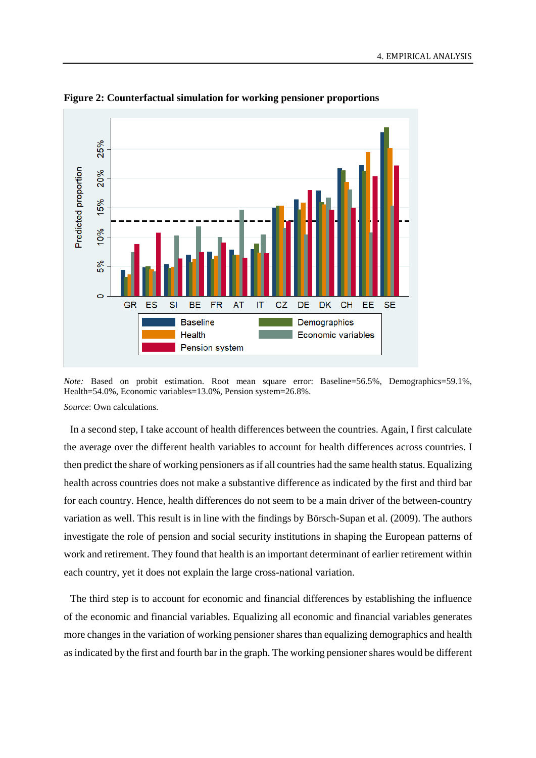

<span id="page-26-0"></span>**Figure 2: Counterfactual simulation for working pensioner proportions**

*Note:* Based on probit estimation. Root mean square error: Baseline=56.5%, Demographics=59.1%, Health=54.0%, Economic variables=13.0%, Pension system=26.8%. *Source*: Own calculations.

In a second step, I take account of health differences between the countries. Again, I first calculate the average over the different health variables to account for health differences across countries. I then predict the share of working pensioners as if all countries had the same health status. Equalizing health across countries does not make a substantive difference as indicated by the first and third bar for each country. Hence, health differences do not seem to be a main driver of the between-country variation as well. This result is in line with the findings by Börsch-Supan et al. (2009). The authors investigate the role of pension and social security institutions in shaping the European patterns of work and retirement. They found that health is an important determinant of earlier retirement within each country, yet it does not explain the large cross-national variation.

The third step is to account for economic and financial differences by establishing the influence of the economic and financial variables. Equalizing all economic and financial variables generates more changes in the variation of working pensioner shares than equalizing demographics and health as indicated by the first and fourth bar in the graph. The working pensioner shares would be different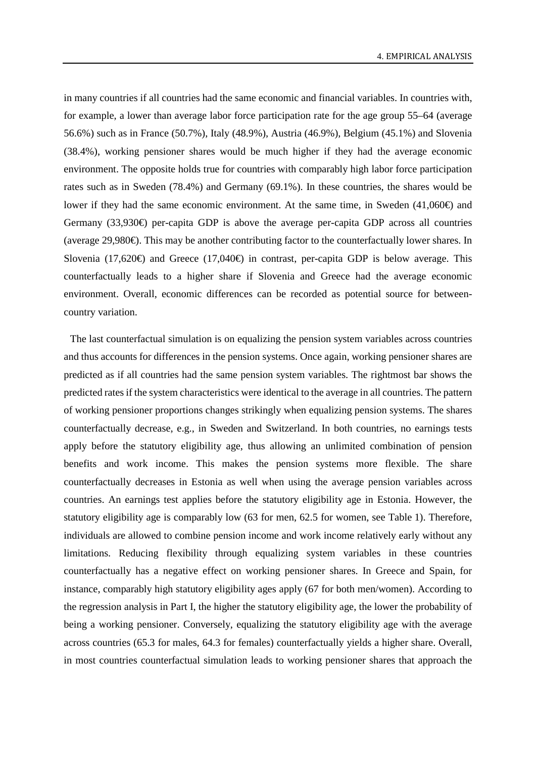in many countries if all countries had the same economic and financial variables. In countries with, for example, a lower than average labor force participation rate for the age group 55–64 (average 56.6%) such as in France (50.7%), Italy (48.9%), Austria (46.9%), Belgium (45.1%) and Slovenia (38.4%), working pensioner shares would be much higher if they had the average economic environment. The opposite holds true for countries with comparably high labor force participation rates such as in Sweden (78.4%) and Germany (69.1%). In these countries, the shares would be lower if they had the same economic environment. At the same time, in Sweden  $(41,060\oplus$  and Germany (33,930€) per-capita GDP is above the average per-capita GDP across all countries (average 29,980€). This may be another contributing factor to the counterfactually lower shares. In Slovenia (17,620 $\oplus$ ) and Greece (17,040 $\oplus$ ) in contrast, per-capita GDP is below average. This counterfactually leads to a higher share if Slovenia and Greece had the average economic environment. Overall, economic differences can be recorded as potential source for betweencountry variation.

The last counterfactual simulation is on equalizing the pension system variables across countries and thus accounts for differences in the pension systems. Once again, working pensioner shares are predicted as if all countries had the same pension system variables. The rightmost bar shows the predicted rates if the system characteristics were identical to the average in all countries. The pattern of working pensioner proportions changes strikingly when equalizing pension systems. The shares counterfactually decrease, e.g., in Sweden and Switzerland. In both countries, no earnings tests apply before the statutory eligibility age, thus allowing an unlimited combination of pension benefits and work income. This makes the pension systems more flexible. The share counterfactually decreases in Estonia as well when using the average pension variables across countries. An earnings test applies before the statutory eligibility age in Estonia. However, the statutory eligibility age is comparably low (63 for men, 62.5 for women, see [Table](#page-9-0) 1). Therefore, individuals are allowed to combine pension income and work income relatively early without any limitations. Reducing flexibility through equalizing system variables in these countries counterfactually has a negative effect on working pensioner shares. In Greece and Spain, for instance, comparably high statutory eligibility ages apply (67 for both men/women). According to the regression analysis in Part I, the higher the statutory eligibility age, the lower the probability of being a working pensioner. Conversely, equalizing the statutory eligibility age with the average across countries (65.3 for males, 64.3 for females) counterfactually yields a higher share. Overall, in most countries counterfactual simulation leads to working pensioner shares that approach the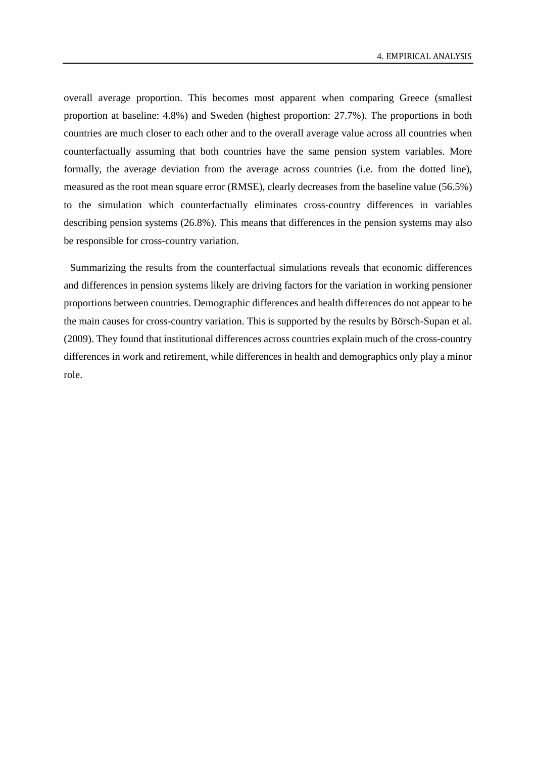overall average proportion. This becomes most apparent when comparing Greece (smallest proportion at baseline: 4.8%) and Sweden (highest proportion: 27.7%). The proportions in both countries are much closer to each other and to the overall average value across all countries when counterfactually assuming that both countries have the same pension system variables. More formally, the average deviation from the average across countries (i.e. from the dotted line), measured as the root mean square error (RMSE), clearly decreases from the baseline value (56.5%) to the simulation which counterfactually eliminates cross-country differences in variables describing pension systems (26.8%). This means that differences in the pension systems may also be responsible for cross-country variation.

Summarizing the results from the counterfactual simulations reveals that economic differences and differences in pension systems likely are driving factors for the variation in working pensioner proportions between countries. Demographic differences and health differences do not appear to be the main causes for cross-country variation. This is supported by the results by Börsch-Supan et al. (2009). They found that institutional differences across countries explain much of the cross-country differences in work and retirement, while differences in health and demographics only play a minor role.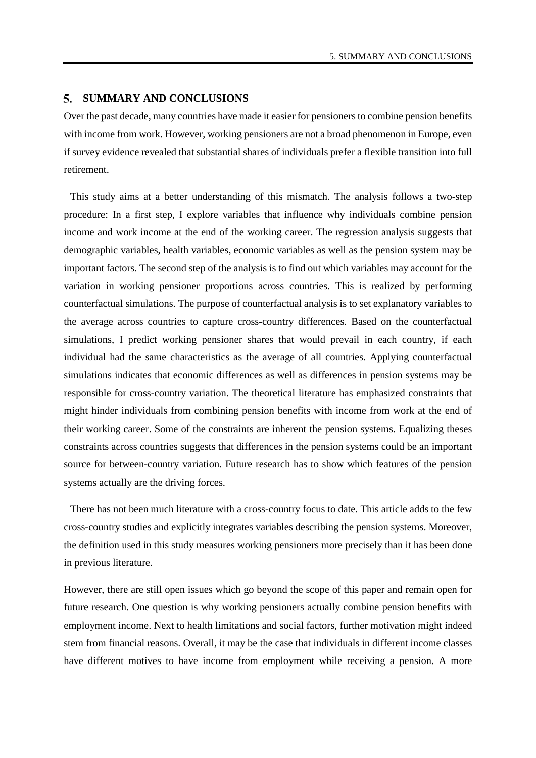#### **SUMMARY AND CONCLUSIONS**

Over the past decade, many countries have made it easier for pensioners to combine pension benefits with income from work. However, working pensioners are not a broad phenomenon in Europe, even if survey evidence revealed that substantial shares of individuals prefer a flexible transition into full retirement.

This study aims at a better understanding of this mismatch. The analysis follows a two-step procedure: In a first step, I explore variables that influence why individuals combine pension income and work income at the end of the working career. The regression analysis suggests that demographic variables, health variables, economic variables as well as the pension system may be important factors. The second step of the analysis is to find out which variables may account for the variation in working pensioner proportions across countries. This is realized by performing counterfactual simulations. The purpose of counterfactual analysis is to set explanatory variables to the average across countries to capture cross-country differences. Based on the counterfactual simulations, I predict working pensioner shares that would prevail in each country, if each individual had the same characteristics as the average of all countries. Applying counterfactual simulations indicates that economic differences as well as differences in pension systems may be responsible for cross-country variation. The theoretical literature has emphasized constraints that might hinder individuals from combining pension benefits with income from work at the end of their working career. Some of the constraints are inherent the pension systems. Equalizing theses constraints across countries suggests that differences in the pension systems could be an important source for between-country variation. Future research has to show which features of the pension systems actually are the driving forces.

There has not been much literature with a cross-country focus to date. This article adds to the few cross-country studies and explicitly integrates variables describing the pension systems. Moreover, the definition used in this study measures working pensioners more precisely than it has been done in previous literature.

However, there are still open issues which go beyond the scope of this paper and remain open for future research. One question is why working pensioners actually combine pension benefits with employment income. Next to health limitations and social factors, further motivation might indeed stem from financial reasons. Overall, it may be the case that individuals in different income classes have different motives to have income from employment while receiving a pension. A more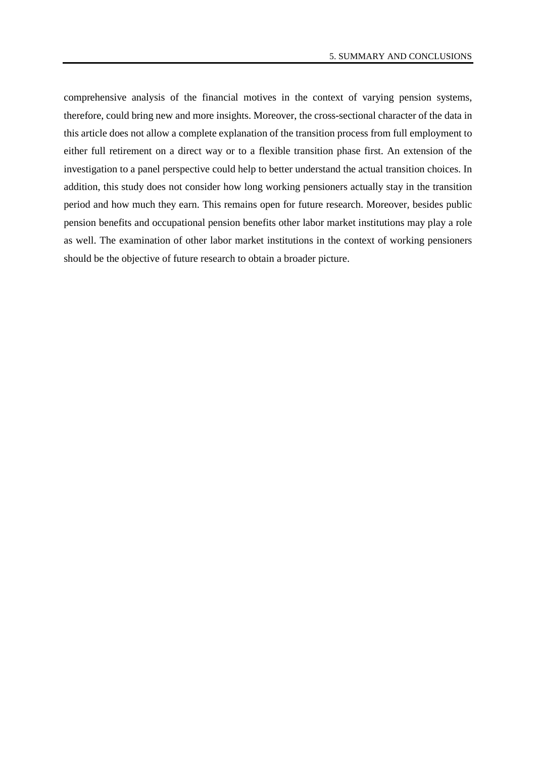comprehensive analysis of the financial motives in the context of varying pension systems, therefore, could bring new and more insights. Moreover, the cross-sectional character of the data in this article does not allow a complete explanation of the transition process from full employment to either full retirement on a direct way or to a flexible transition phase first. An extension of the investigation to a panel perspective could help to better understand the actual transition choices. In addition, this study does not consider how long working pensioners actually stay in the transition period and how much they earn. This remains open for future research. Moreover, besides public pension benefits and occupational pension benefits other labor market institutions may play a role as well. The examination of other labor market institutions in the context of working pensioners should be the objective of future research to obtain a broader picture.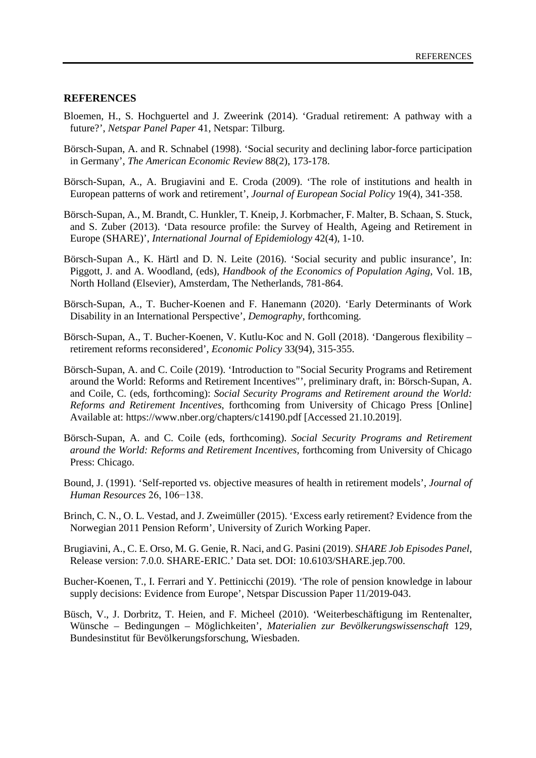#### **REFERENCES**

- Bloemen, H., S. Hochguertel and J. Zweerink (2014). 'Gradual retirement: A pathway with a future?', *Netspar Panel Paper* 41, Netspar: Tilburg.
- Börsch-Supan, A. and R. Schnabel (1998). 'Social security and declining labor-force participation in Germany', *The American Economic Review* 88(2), 173-178.
- [Börsch-Supan, A.](https://www.ncbi.nlm.nih.gov/pubmed/?term=B%C3%B6rsch-Supan%20A%5BAuthor%5D&cauthor=true&cauthor_uid=20428466), A. [Brugiavini](https://www.ncbi.nlm.nih.gov/pubmed/?term=Brugiavini%20A%5BAuthor%5D&cauthor=true&cauthor_uid=20428466) and E. [Croda](https://www.ncbi.nlm.nih.gov/pubmed/?term=Croda%20E%5BAuthor%5D&cauthor=true&cauthor_uid=20428466) (2009). 'The role of institutions and health in European patterns of work and retirement', *[Journal of European Social Policy](https://www.ncbi.nlm.nih.gov/pubmed/20428466)* 19(4), 341-358.
- Börsch-Supan, A., M. Brandt, C. Hunkler, T. Kneip, J. Korbmacher, F. Malter, B. Schaan, S. Stuck, and S. Zuber (2013). 'Data resource profile: the Survey of Health, Ageing and Retirement in Europe (SHARE)', *International Journal of Epidemiology* 42(4), 1-10.
- Börsch-Supan A., K. Härtl and D. N. Leite (2016). 'Social security and public insurance', In: Piggott, J. and A. Woodland, (eds), *Handbook of the Economics of Population Aging*, Vol. 1B, North Holland (Elsevier), Amsterdam, The Netherlands, 781-864.
- Börsch-Supan, A., T. Bucher-Koenen and F. Hanemann (2020). 'Early Determinants of Work Disability in an International Perspective', *Demography*, forthcoming.
- Börsch-Supan, A., T. Bucher-Koenen, V. Kutlu-Koc and N. Goll (2018). 'Dangerous flexibility retirement reforms reconsidered', *Economic Policy* 33(94), 315-355.
- Börsch-Supan, A. and C. Coile (2019). 'Introduction to "Social Security Programs and Retirement around the World: Reforms and Retirement Incentives"', preliminary draft, in: Börsch-Supan, A. and Coile, C. (eds, forthcoming): *Social Security Programs and Retirement around the World: Reforms and Retirement Incentives*, forthcoming from University of Chicago Press [Online] Available at: https://www.nber.org/chapters/c14190.pdf [Accessed 21.10.2019].
- Börsch-Supan, A. and C. Coile (eds, forthcoming). *Social Security Programs and Retirement around the World: Reforms and Retirement Incentives,* forthcoming from University of Chicago Press: Chicago.
- Bound, J. (1991). 'Self-reported vs. objective measures of health in retirement models', *Journal of Human Resources* 26, 106−138.
- Brinch, C. N., O. L. Vestad, and J. Zweimüller (2015). 'Excess early retirement? Evidence from the Norwegian 2011 Pension Reform', University of Zurich Working Paper.
- Brugiavini, A., C. E. Orso, M. G. Genie, R. Naci, and G. Pasini (2019). *SHARE Job Episodes Panel*, Release version: 7.0.0. SHARE-ERIC.' Data set. DOI: 10.6103/SHARE.jep.700.
- Bucher-Koenen, T., I. Ferrari and Y. Pettinicchi (2019). 'The role of pension knowledge in labour supply decisions: Evidence from Europe', Netspar Discussion Paper 11/2019-043.
- Büsch, V., J. Dorbritz, T. Heien, and F. Micheel (2010). 'Weiterbeschäftigung im Rentenalter, Wünsche – Bedingungen – Möglichkeiten', *Materialien zur Bevölkerungswissenschaft* 129, Bundesinstitut für Bevölkerungsforschung, Wiesbaden.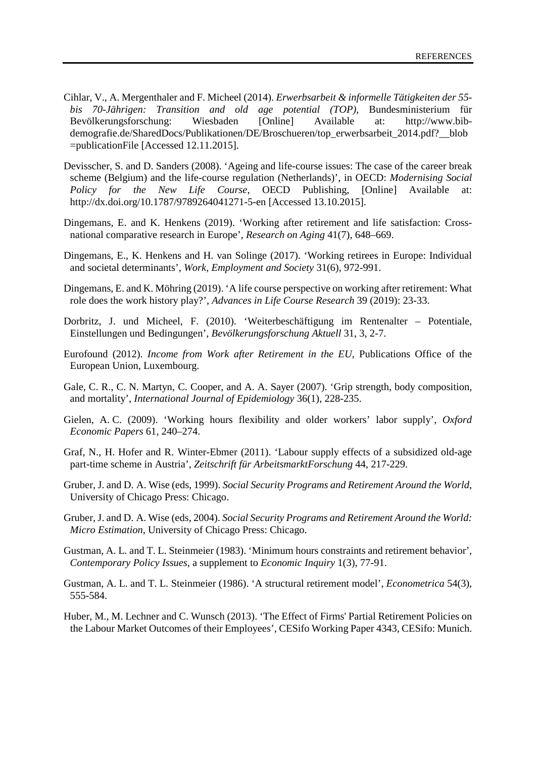- Cihlar, V., A. Mergenthaler and F. Micheel (2014). *Erwerbsarbeit & informelle Tätigkeiten der 55 bis 70-Jährigen: Transition and old age potential (TOP)*, Bundesministerium für Bevölkerungsforschung: Wiesbaden [Online] Available at: http://www.bibdemografie.de/SharedDocs/Publikationen/DE/Broschueren/top\_erwerbsarbeit\_2014.pdf?\_\_blob =publicationFile [Accessed 12.11.2015].
- Devisscher, S. and D. Sanders (2008). 'Ageing and life-course issues: The case of the career break scheme (Belgium) and the life-course regulation (Netherlands)', in OECD: *Modernising Social Policy for the New Life Course*, OECD Publishing, [Online] Available at: http://dx.doi.org/10.1787/9789264041271-5-en [Accessed 13.10.2015].
- Dingemans, E. and K. Henkens (2019). 'Working after retirement and life satisfaction: Crossnational comparative research in Europe', *Research on Aging* 41(7), 648–669.
- Dingemans, E., K. Henkens and H. van Solinge (2017). 'Working retirees in Europe: Individual and societal determinants', *Work, Employment and Society* 31(6), 972-991.
- Dingemans, E. and K. Möhring (2019). 'A life course perspective on working after retirement: What role does the work history play?', *Advances in Life Course Research* 39 (2019): 23-33.
- Dorbritz, J. und Micheel, F. (2010). 'Weiterbeschäftigung im Rentenalter Potentiale, Einstellungen und Bedingungen', *Bevölkerungsforschung Aktuell* 31, 3, 2-7.
- Eurofound (2012). *Income from Work after Retirement in the EU*, Publications Office of the European Union, Luxembourg.
- Gale, C. R., C. N. Martyn, C. Cooper, and A. A. Sayer (2007). 'Grip strength, body composition, and mortality', *International Journal of Epidemiology* 36(1), 228-235.
- Gielen, A. C. (2009). 'Working hours flexibility and older workers' labor supply', *Oxford Economic Papers* 61, 240–274.
- Graf, N., H. Hofer and R. Winter-Ebmer (2011). 'Labour supply effects of a subsidized old-age part-time scheme in Austria', *Zeitschrift für ArbeitsmarktForschung* 44, 217-229.
- Gruber, J. and D. A. Wise (eds, 1999). *Social Security Programs and Retirement Around the World*, University of Chicago Press: Chicago.
- Gruber, J. and D. A. Wise (eds, 2004). *Social Security Programs and Retirement Around the World: Micro Estimation*, University of Chicago Press: Chicago.
- Gustman, A. L. and T. L. Steinmeier (1983). 'Minimum hours constraints and retirement behavior', *Contemporary Policy Issues*, a supplement to *Economic Inquiry* 1(3), 77-91.
- Gustman, A. L. and T. L. Steinmeier (1986). 'A structural retirement model', *Econometrica* 54(3), 555-584.
- Huber, M., M. Lechner and C. Wunsch (2013). 'The Effect of Firms' Partial Retirement Policies on the Labour Market Outcomes of their Employees', CESifo Working Paper 4343, CESifo: Munich.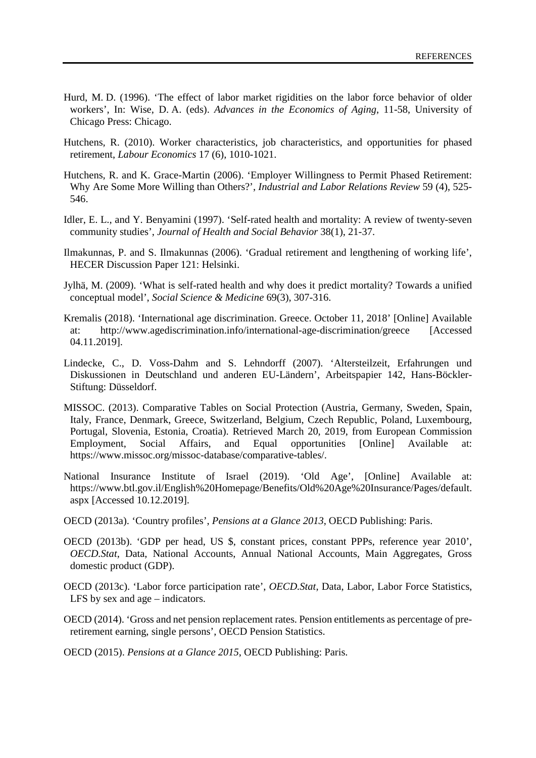- Hurd, M. D. (1996). 'The effect of labor market rigidities on the labor force behavior of older workers', In: Wise, D. A. (eds). *Advances in the Economics of Aging*, 11-58, University of Chicago Press: Chicago.
- Hutchens, R. (2010). Worker characteristics, job characteristics, and opportunities for phased retirement, *Labour Economics* 17 (6), 1010-1021.
- Hutchens, R. and K. Grace-Martin (2006). 'Employer Willingness to Permit Phased Retirement: Why Are Some More Willing than Others?', *Industrial and Labor Relations Review* 59 (4), 525- 546.
- Idler, E. L., and Y. Benyamini (1997). 'Self-rated health and mortality: A review of twenty-seven community studies', *Journal of Health and Social Behavior* 38(1), 21-37.
- Ilmakunnas, P. and S. Ilmakunnas (2006). 'Gradual retirement and lengthening of working life', HECER Discussion Paper 121: Helsinki.
- Jylhä, M. (2009). 'What is self-rated health and why does it predict mortality? Towards a unified conceptual model', *Social Science & Medicine* 69(3), 307-316.
- Kremalis (2018). 'International age discrimination. Greece. October 11, 2018' [Online] Available at: http://www.agediscrimination.info/international-age-discrimination/greece [Accessed 04.11.2019].
- Lindecke, C., D. Voss-Dahm and S. Lehndorff (2007). 'Altersteilzeit, Erfahrungen und Diskussionen in Deutschland und anderen EU-Ländern', Arbeitspapier 142, Hans-Böckler-Stiftung: Düsseldorf.
- MISSOC. (2013). Comparative Tables on Social Protection (Austria, Germany, Sweden, Spain, Italy, France, Denmark, Greece, Switzerland, Belgium, Czech Republic, Poland, Luxembourg, Portugal, Slovenia, Estonia, Croatia). Retrieved March 20, 2019, from European Commission Employment, Social Affairs, and Equal opportunities [Online] Available at: https://www.missoc.org/missoc-database/comparative-tables/.
- National Insurance Institute of Israel (2019). 'Old Age', [Online] Available at: https://www.btl.gov.il/English%20Homepage/Benefits/Old%20Age%20Insurance/Pages/default. aspx [Accessed 10.12.2019].
- OECD (2013a). 'Country profiles', *Pensions at a Glance 2013*, OECD Publishing: Paris.
- OECD (2013b). 'GDP per head, US \$, constant prices, constant PPPs, reference year 2010', *OECD.Stat*, Data, National Accounts, Annual National Accounts, Main Aggregates, Gross domestic product (GDP).
- OECD (2013c). 'Labor force participation rate', *OECD.Stat*, Data, Labor, Labor Force Statistics, LFS by sex and age – indicators.
- OECD (2014). 'Gross and net pension replacement rates. Pension entitlements as percentage of preretirement earning, single persons', OECD Pension Statistics.
- OECD (2015). *Pensions at a Glance 2015*, OECD Publishing: Paris.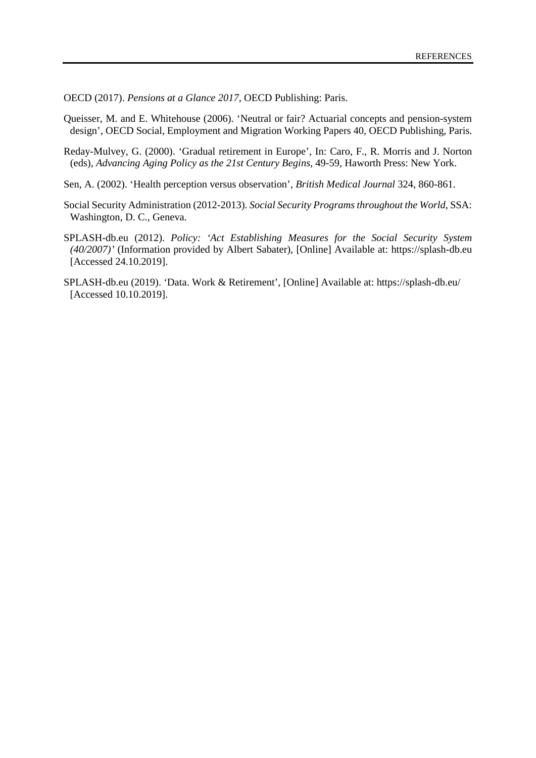OECD (2017). *Pensions at a Glance 2017*, OECD Publishing: Paris.

Queisser, M. and E. Whitehouse (2006). 'Neutral or fair? Actuarial concepts and pension-system design', OECD Social, Employment and Migration Working Papers 40, OECD Publishing, Paris.

- Reday-Mulvey, G. (2000). 'Gradual retirement in Europe', In: Caro, F., R. Morris and J. Norton (eds), *Advancing Aging Policy as the 21st Century Begins*, 49-59, Haworth Press: New York.
- Sen, A. (2002). 'Health perception versus observation', *British Medical Journal* 324, 860-861.
- Social Security Administration (2012-2013). *Social Security Programs throughout the World*, SSA: Washington, D. C., Geneva.
- SPLASH-db.eu (2012). *Policy: 'Act Establishing Measures for the Social Security System (40/2007)'* (Information provided by Albert Sabater), [Online] Available at: https://splash-db.eu [Accessed 24.10.2019].
- SPLASH-db.eu (2019). 'Data. Work & Retirement', [Online] Available at: https://splash-db.eu/ [Accessed 10.10.2019].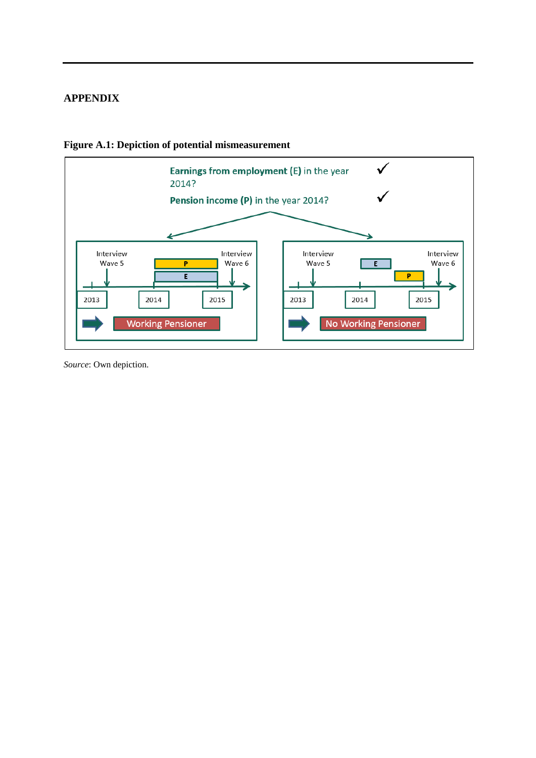# <span id="page-35-0"></span>**APPENDIX**



**Figure A.1: Depiction of potential mismeasurement**

*Source*: Own depiction.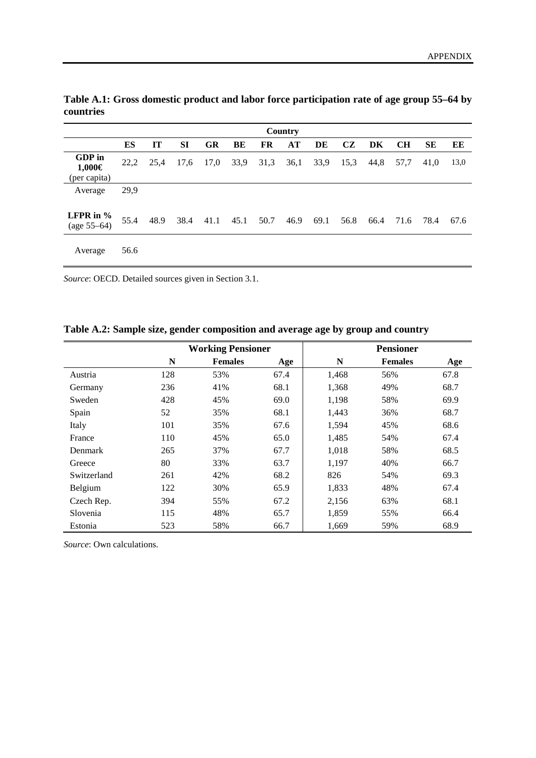|                                  | Country |      |           |           |      |           |      |      |           |      |           |           |      |
|----------------------------------|---------|------|-----------|-----------|------|-----------|------|------|-----------|------|-----------|-----------|------|
|                                  | ES      | IT   | <b>SI</b> | <b>GR</b> | BE   | <b>FR</b> | AT   | DE   | <b>CZ</b> | DK   | <b>CH</b> | <b>SE</b> | EE   |
| GDP in<br>1,000€<br>(per capita) | 22,2    | 25,4 | 17,6      | 17,0      | 33,9 | 31,3      | 36,1 | 33,9 | 15,3      | 44,8 | 57,7      | 41,0      | 13,0 |
| Average                          | 29,9    |      |           |           |      |           |      |      |           |      |           |           |      |
| LFPR in $%$<br>$(age 55-64)$     | 55.4    | 48.9 | 38.4      | 41.1      | 45.1 | 50.7      | 46.9 | 69.1 | 56.8      | 66.4 | 71.6      | 78.4      | 67.6 |
| Average                          | 56.6    |      |           |           |      |           |      |      |           |      |           |           |      |

<span id="page-36-0"></span>**Table A.1: Gross domestic product and labor force participation rate of age group 55–64 by countries**

*Source*: OECD. Detailed sources given in Section 3.1.

<span id="page-36-1"></span>**Table A.2: Sample size, gender composition and average age by group and country**

|             |     | <b>Working Pensioner</b> |      | <b>Pensioner</b> |                |      |  |
|-------------|-----|--------------------------|------|------------------|----------------|------|--|
|             | N   | <b>Females</b>           | Age  | N                | <b>Females</b> | Age  |  |
| Austria     | 128 | 53%                      | 67.4 | 1,468            | 56%            | 67.8 |  |
| Germany     | 236 | 41%                      | 68.1 | 1,368            | 49%            | 68.7 |  |
| Sweden      | 428 | 45%                      | 69.0 | 1,198            | 58%            | 69.9 |  |
| Spain       | 52  | 35%                      | 68.1 | 1,443            | 36%            | 68.7 |  |
| Italy       | 101 | 35%                      | 67.6 | 1,594            | 45%            | 68.6 |  |
| France      | 110 | 45%                      | 65.0 | 1,485            | 54%            | 67.4 |  |
| Denmark     | 265 | 37%                      | 67.7 | 1,018            | 58%            | 68.5 |  |
| Greece      | 80  | 33%                      | 63.7 | 1,197            | 40%            | 66.7 |  |
| Switzerland | 261 | 42%                      | 68.2 | 826              | 54%            | 69.3 |  |
| Belgium     | 122 | 30%                      | 65.9 | 1,833            | 48%            | 67.4 |  |
| Czech Rep.  | 394 | 55%                      | 67.2 | 2,156            | 63%            | 68.1 |  |
| Slovenia    | 115 | 48%                      | 65.7 | 1,859            | 55%            | 66.4 |  |
| Estonia     | 523 | 58%                      | 66.7 | 1,669            | 59%            | 68.9 |  |

*Source*: Own calculations.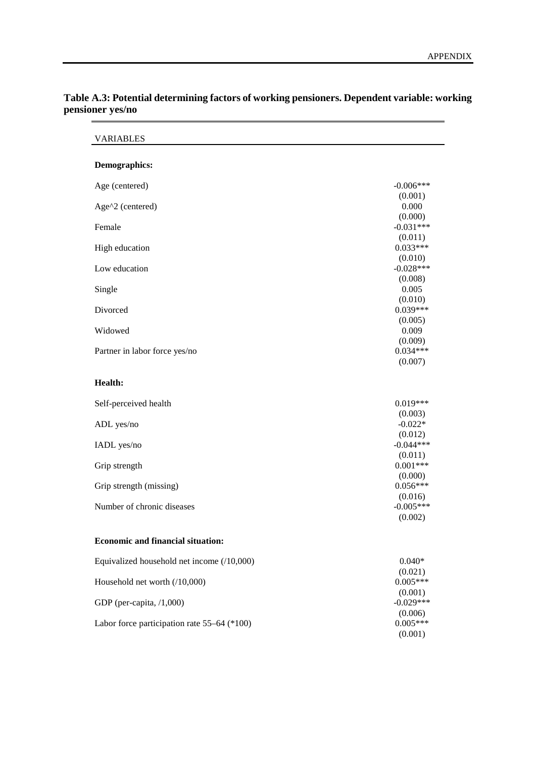| Demographics:                               |             |
|---------------------------------------------|-------------|
| Age (centered)                              | $-0.006***$ |
|                                             | (0.001)     |
| Age^2 (centered)                            | 0.000       |
|                                             | (0.000)     |
| Female                                      | $-0.031***$ |
|                                             | (0.011)     |
| High education                              | $0.033***$  |
|                                             | (0.010)     |
| Low education                               | $-0.028***$ |
|                                             | (0.008)     |
| Single                                      | 0.005       |
|                                             | (0.010)     |
| Divorced                                    | $0.039***$  |
|                                             | (0.005)     |
| Widowed                                     | 0.009       |
|                                             | (0.009)     |
| Partner in labor force yes/no               | $0.034***$  |
|                                             | (0.007)     |
| Health:                                     |             |
| Self-perceived health                       | $0.019***$  |
|                                             | (0.003)     |
| ADL yes/no                                  | $-0.022*$   |
|                                             | (0.012)     |
| IADL yes/no                                 | $-0.044***$ |
|                                             | (0.011)     |
| Grip strength                               | $0.001***$  |
|                                             | (0.000)     |
| Grip strength (missing)                     | $0.056***$  |
|                                             | (0.016)     |
| Number of chronic diseases                  | $-0.005***$ |
|                                             | (0.002)     |
| <b>Economic and financial situation:</b>    |             |
|                                             |             |
| Equivalized household net income (/10,000)  | $0.040*$    |
|                                             | (0.021)     |
| Household net worth (/10,000)               | $0.005***$  |
|                                             | (0.001)     |
| GDP (per-capita, $/1,000$ )                 | $-0.029***$ |
|                                             | (0.006)     |
| Labor force participation rate 55–64 (*100) | $0.005***$  |
|                                             | (0.001)     |

# <span id="page-37-0"></span>**Table A.3: Potential determining factors of working pensioners. Dependent variable: working pensioner yes/no**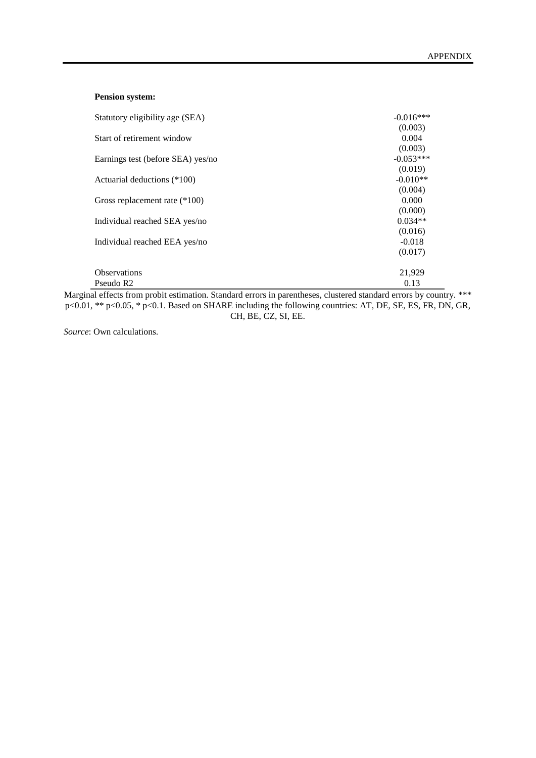#### **Pension system:**

| Statutory eligibility age (SEA)   | $-0.016***$ |
|-----------------------------------|-------------|
|                                   | (0.003)     |
| Start of retirement window        | 0.004       |
|                                   | (0.003)     |
| Earnings test (before SEA) yes/no | $-0.053***$ |
|                                   | (0.019)     |
| Actuarial deductions (*100)       | $-0.010**$  |
|                                   | (0.004)     |
| Gross replacement rate (*100)     | 0.000       |
|                                   | (0.000)     |
| Individual reached SEA yes/no     | $0.034**$   |
|                                   | (0.016)     |
| Individual reached EEA yes/no     | $-0.018$    |
|                                   | (0.017)     |
|                                   |             |
| <b>Observations</b>               | 21,929      |
| Pseudo R <sub>2</sub>             | 0.13        |

Marginal effects from probit estimation. Standard errors in parentheses, clustered standard errors by country. \*\*\* p<0.01, \*\* p<0.05, \* p<0.1. Based on SHARE including the following countries: AT, DE, SE, ES, FR, DN, GR, CH, BE, CZ, SI, EE.

*Source*: Own calculations.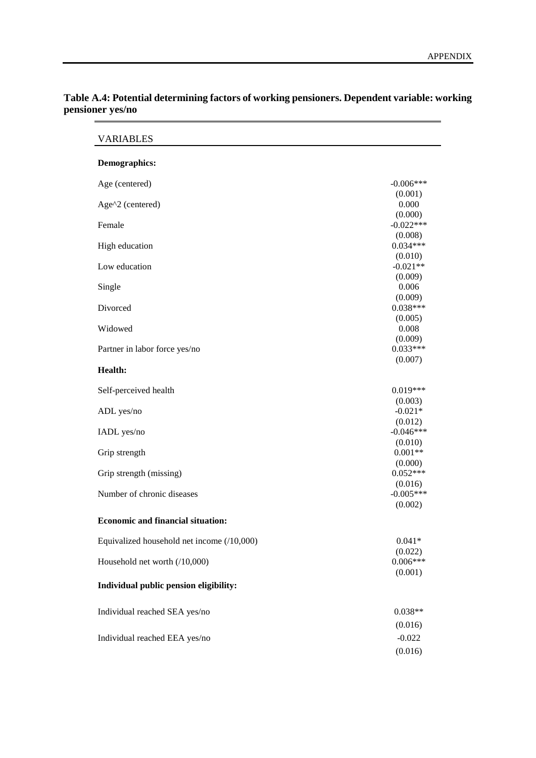| <b>VARIABLES</b>                           |                       |
|--------------------------------------------|-----------------------|
| <b>Demographics:</b>                       |                       |
| Age (centered)                             | $-0.006***$           |
|                                            | (0.001)               |
| Age^2 (centered)                           | 0.000                 |
|                                            | (0.000)               |
| Female                                     | $-0.022***$           |
|                                            | (0.008)<br>$0.034***$ |
| High education                             |                       |
| Low education                              | (0.010)<br>$-0.021**$ |
|                                            | (0.009)               |
| Single                                     | 0.006                 |
|                                            | (0.009)               |
| Divorced                                   | $0.038***$            |
|                                            | (0.005)               |
| Widowed                                    | 0.008                 |
|                                            | (0.009)               |
| Partner in labor force yes/no              | $0.033***$            |
|                                            | (0.007)               |
| <b>Health:</b>                             |                       |
| Self-perceived health                      | $0.019***$            |
|                                            | (0.003)               |
| ADL yes/no                                 | $-0.021*$             |
|                                            | (0.012)               |
| IADL yes/no                                | $-0.046***$           |
|                                            | (0.010)               |
| Grip strength                              | $0.001**$             |
|                                            | (0.000)               |
| Grip strength (missing)                    | $0.052***$            |
|                                            | (0.016)               |
| Number of chronic diseases                 | $-0.005***$           |
|                                            | (0.002)               |
| <b>Economic and financial situation:</b>   |                       |
| Equivalized household net income (/10,000) | $0.041*$              |
|                                            | (0.022)               |
| Household net worth (/10,000)              | $0.006***$            |
|                                            | (0.001)               |
| Individual public pension eligibility:     |                       |
| Individual reached SEA yes/no              | $0.038**$             |
|                                            | (0.016)               |
|                                            |                       |
| Individual reached EEA yes/no              | $-0.022$              |
|                                            | (0.016)               |

# <span id="page-39-0"></span>**Table A.4: Potential determining factors of working pensioners. Dependent variable: working pensioner yes/no**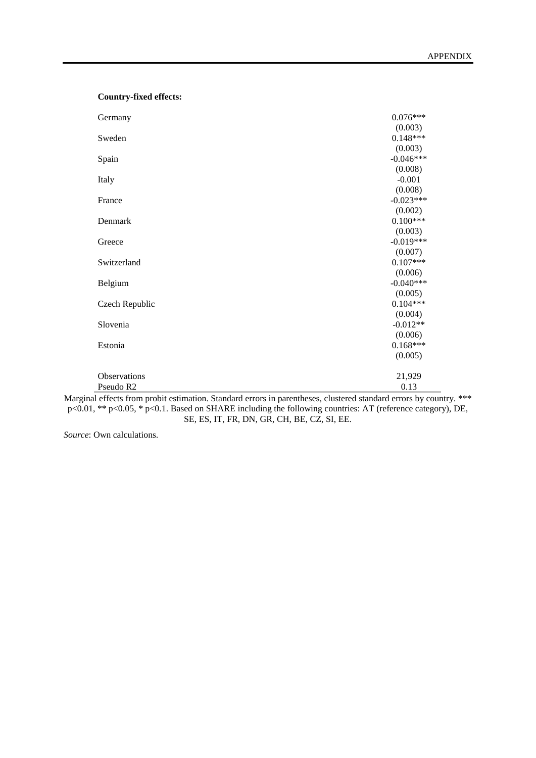| Germany        | $0.076***$  |
|----------------|-------------|
|                | (0.003)     |
| Sweden         | $0.148***$  |
|                | (0.003)     |
| Spain          | $-0.046***$ |
|                | (0.008)     |
| Italy          | $-0.001$    |
|                | (0.008)     |
| France         | $-0.023***$ |
|                | (0.002)     |
| Denmark        | $0.100***$  |
|                | (0.003)     |
| Greece         | $-0.019***$ |
|                | (0.007)     |
| Switzerland    | $0.107***$  |
|                | (0.006)     |
| Belgium        | $-0.040***$ |
|                | (0.005)     |
| Czech Republic | $0.104***$  |
|                | (0.004)     |
| Slovenia       | $-0.012**$  |
|                | (0.006)     |
| Estonia        | $0.168***$  |
|                | (0.005)     |
| Observations   | 21,929      |
| Pseudo R2      | 0.13        |

Marginal effects from probit estimation. Standard errors in parentheses, clustered standard errors by country. \*\*\* p<0.01, \*\* p<0.05, \* p<0.1. Based on SHARE including the following countries: AT (reference category), DE, SE, ES, IT, FR, DN, GR, CH, BE, CZ, SI, EE.

*Source*: Own calculations.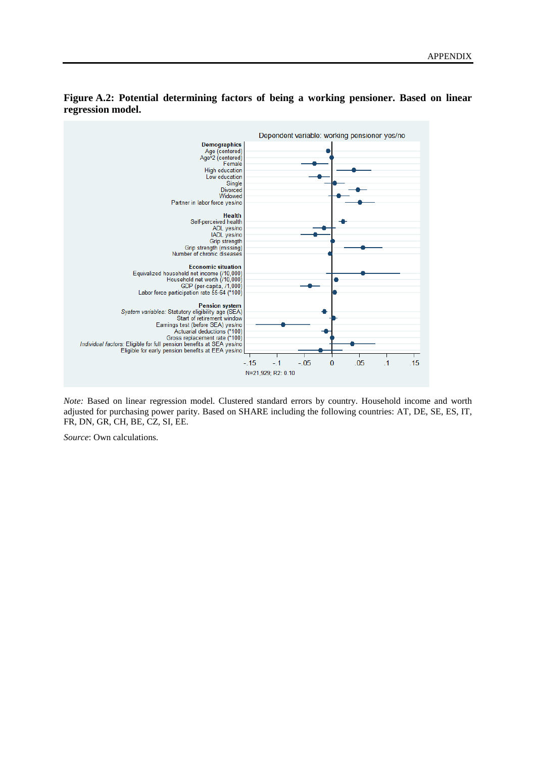

### **Figure A.2: Potential determining factors of being a working pensioner. Based on linear regression model.**

*Note:* Based on linear regression model. Clustered standard errors by country. Household income and worth adjusted for purchasing power parity. Based on SHARE including the following countries: AT, DE, SE, ES, IT, FR, DN, GR, CH, BE, CZ, SI, EE.

*Source*: Own calculations.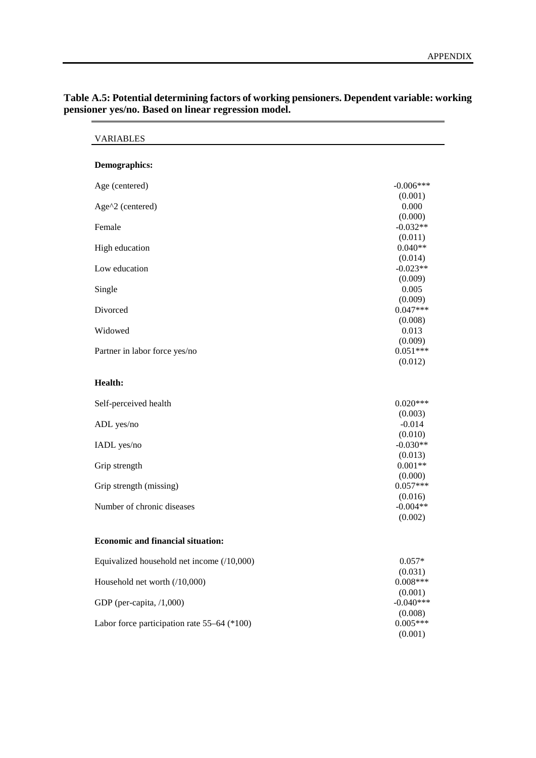| <b>VARIABLES</b>                            |                       |
|---------------------------------------------|-----------------------|
| Demographics:                               |                       |
| Age (centered)                              | $-0.006***$           |
|                                             | (0.001)               |
| Age^2 (centered)                            | 0.000                 |
| Female                                      | (0.000)<br>$-0.032**$ |
|                                             | (0.011)               |
| High education                              | $0.040**$             |
|                                             | (0.014)               |
| Low education                               | $-0.023**$            |
|                                             | (0.009)               |
| Single                                      | 0.005                 |
|                                             | (0.009)               |
| Divorced                                    | $0.047***$            |
| Widowed                                     | (0.008)<br>0.013      |
|                                             | (0.009)               |
| Partner in labor force yes/no               | $0.051***$            |
|                                             | (0.012)               |
| <b>Health:</b>                              |                       |
| Self-perceived health                       | $0.020***$            |
|                                             | (0.003)               |
| ADL yes/no                                  | $-0.014$              |
|                                             | (0.010)               |
| IADL yes/no                                 | $-0.030**$            |
| Grip strength                               | (0.013)<br>$0.001**$  |
|                                             | (0.000)               |
| Grip strength (missing)                     | $0.057***$            |
|                                             | (0.016)               |
| Number of chronic diseases                  | $-0.004**$            |
|                                             | (0.002)               |
| <b>Economic and financial situation:</b>    |                       |
| Equivalized household net income (/10,000)  | $0.057*$              |
|                                             | (0.031)               |
| Household net worth (/10,000)               | $0.008***$            |
|                                             | (0.001)               |
| GDP (per-capita, /1,000)                    | $-0.040***$           |
|                                             | (0.008)               |
| Labor force participation rate 55–64 (*100) | $0.005***$            |
|                                             | (0.001)               |

**Table A.5: Potential determining factors of working pensioners. Dependent variable: working pensioner yes/no. Based on linear regression model.**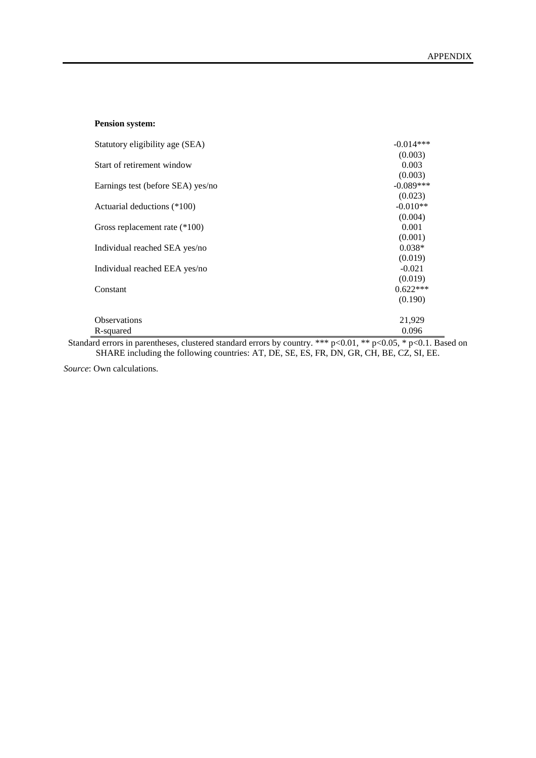| <b>Pension system:</b> |  |
|------------------------|--|
|------------------------|--|

| Statutory eligibility age (SEA)                                                                                                 | $-0.014***$                      |
|---------------------------------------------------------------------------------------------------------------------------------|----------------------------------|
|                                                                                                                                 | (0.003)                          |
| Start of retirement window                                                                                                      | 0.003                            |
|                                                                                                                                 | (0.003)                          |
| Earnings test (before SEA) yes/no                                                                                               | $-0.089***$                      |
|                                                                                                                                 | (0.023)                          |
| Actuarial deductions (*100)                                                                                                     | $-0.010**$                       |
|                                                                                                                                 | (0.004)                          |
| Gross replacement rate (*100)                                                                                                   | 0.001                            |
|                                                                                                                                 | (0.001)                          |
| Individual reached SEA yes/no                                                                                                   | $0.038*$                         |
|                                                                                                                                 | (0.019)                          |
| Individual reached EEA yes/no                                                                                                   | $-0.021$                         |
|                                                                                                                                 | (0.019)                          |
| Constant                                                                                                                        | $0.622***$                       |
|                                                                                                                                 | (0.190)                          |
|                                                                                                                                 |                                  |
| <b>Observations</b>                                                                                                             | 21,929                           |
| R-squared                                                                                                                       | 0.096                            |
| $\sim$ 100 $\sim$ 100 $\sim$ 100 $\sim$ 100 $\sim$ 100 $\sim$ 100 $\sim$ 100 $\sim$ 100 $\sim$ 100 $\sim$ 100 $\sim$ 100 $\sim$ | $+++$ $0.01 +++$ $0.07 +$ $0.01$ |

Standard errors in parentheses, clustered standard errors by country. \*\*\* p<0.01, \*\* p<0.05, \* p<0.1. Based on SHARE including the following countries: AT, DE, SE, ES, FR, DN, GR, CH, BE, CZ, SI, EE.

*Source*: Own calculations.